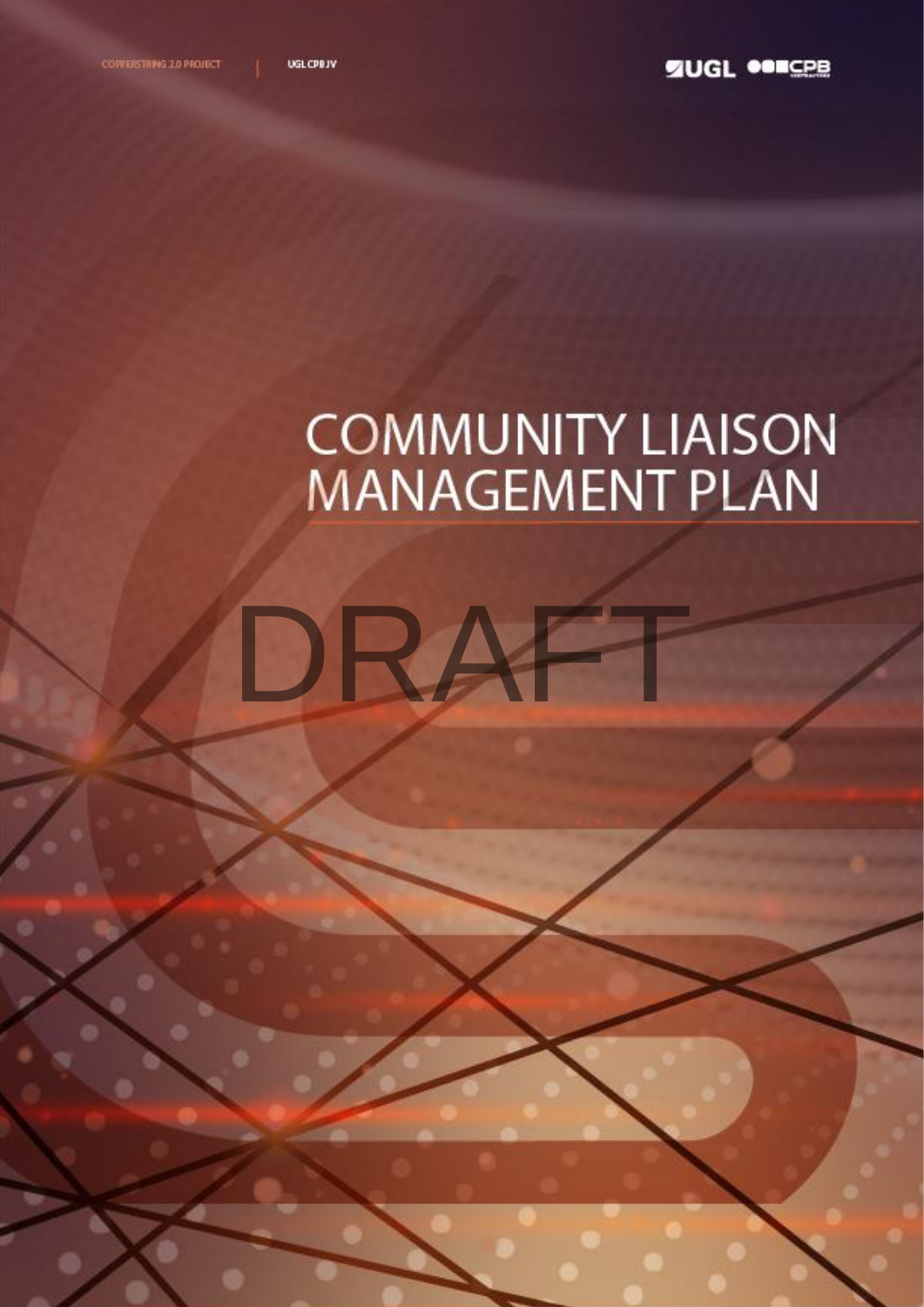# DRAF

# **COMMUNITY LIAISON**<br>MANAGEMENT PLAN

1

ECI Agreement

0643  $\sim$ -PLN – Deliverables Submission

 $-$ 004  $\sim$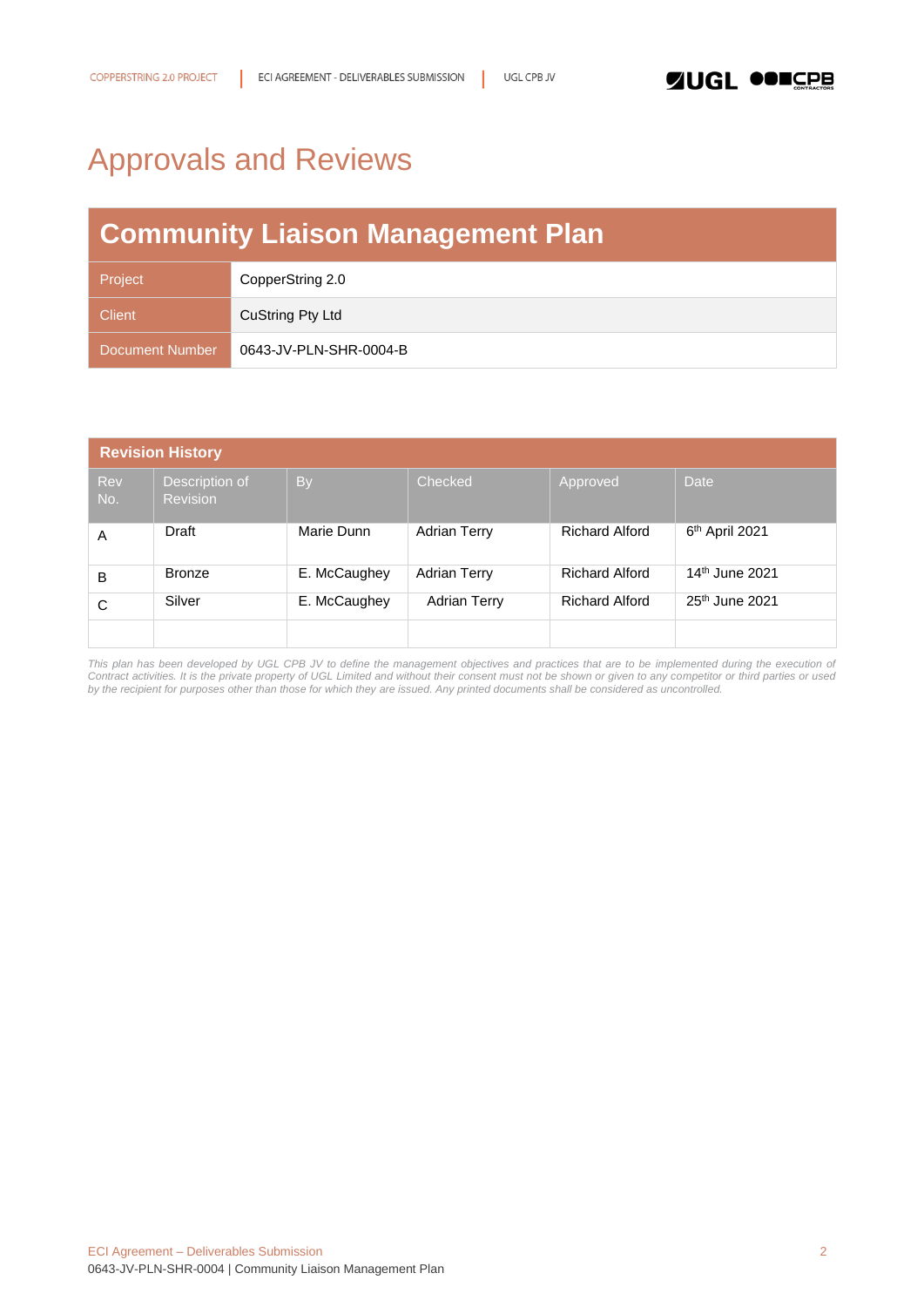# <span id="page-1-0"></span>Approvals and Reviews

# **Community Liaison Management Plan**

| Project         | CopperString 2.0       |
|-----------------|------------------------|
| <b>Client</b>   | CuString Pty Ltd       |
| Document Number | 0643-JV-PLN-SHR-0004-B |

| <b>Revision History</b> |                                   |              |                     |                       |                            |  |
|-------------------------|-----------------------------------|--------------|---------------------|-----------------------|----------------------------|--|
| Rev<br>No.              | Description of<br><b>Revision</b> | <b>By</b>    | Checked             | Approved              | <b>Date</b>                |  |
| A                       | Draft                             | Marie Dunn   | <b>Adrian Terry</b> | <b>Richard Alford</b> | 6 <sup>th</sup> April 2021 |  |
| В                       | <b>Bronze</b>                     | E. McCaughey | <b>Adrian Terry</b> | <b>Richard Alford</b> | 14 <sup>th</sup> June 2021 |  |
| С                       | Silver                            | E. McCaughey | <b>Adrian Terry</b> | <b>Richard Alford</b> | 25 <sup>th</sup> June 2021 |  |
|                         |                                   |              |                     |                       |                            |  |

This plan has been developed by UGL CPB JV to define the management objectives and practices that are to be implemented during the execution of *Contract activities. It is the private property of UGL Limited and without their consent must not be shown or given to any competitor or third parties or used by the recipient for purposes other than those for which they are issued. Any printed documents shall be considered as uncontrolled.*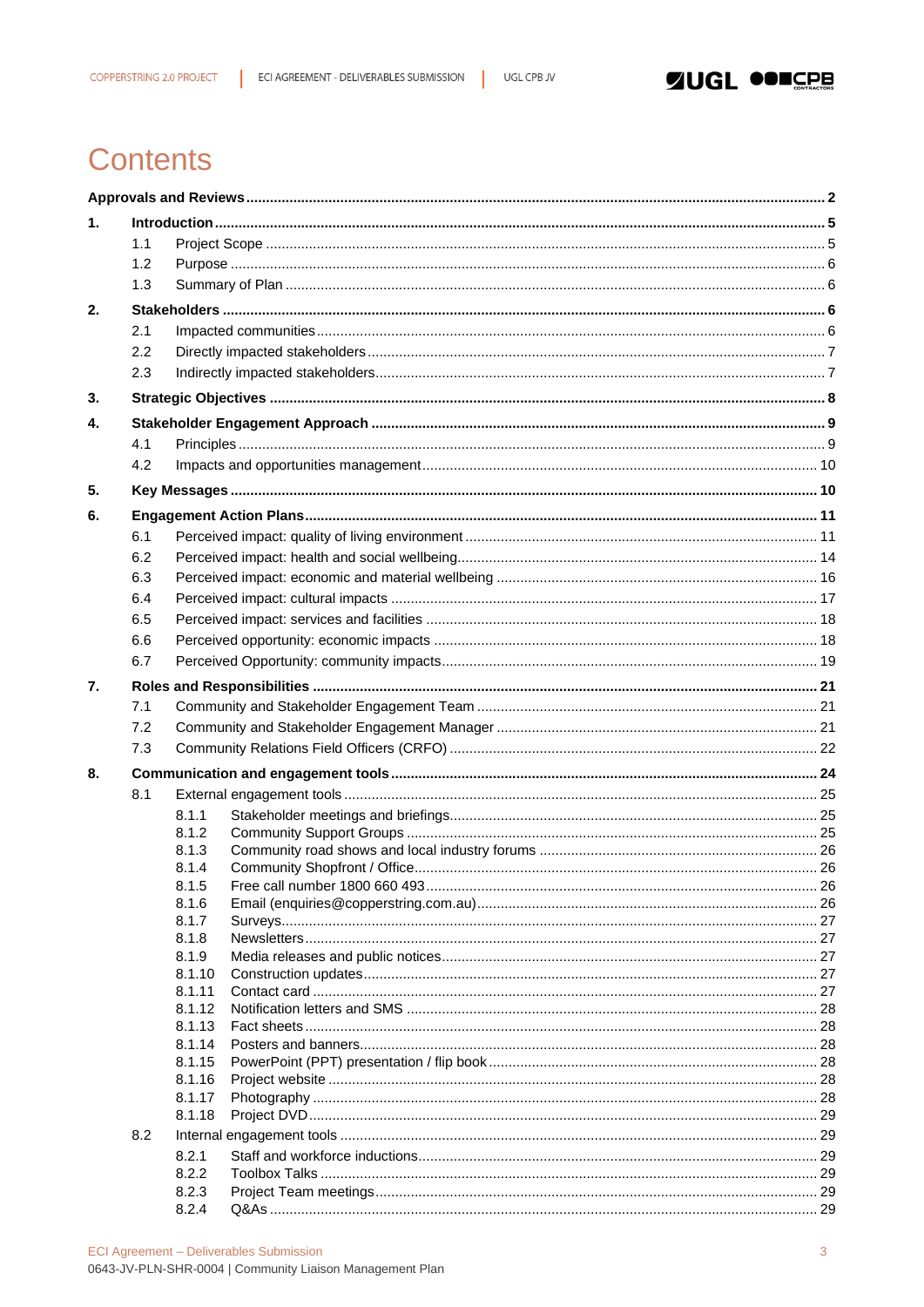# **Contents**

| $\mathbf{1}$ . |            |                  |  |  |  |
|----------------|------------|------------------|--|--|--|
|                | 1.1        |                  |  |  |  |
|                | 1.2        |                  |  |  |  |
|                | 1.3        |                  |  |  |  |
| 2.             |            |                  |  |  |  |
|                |            |                  |  |  |  |
|                | 2.1<br>2.2 |                  |  |  |  |
|                |            |                  |  |  |  |
|                | 2.3        |                  |  |  |  |
| 3.             |            |                  |  |  |  |
| 4.             |            |                  |  |  |  |
|                | 4.1        |                  |  |  |  |
|                | 4.2        |                  |  |  |  |
| 5.             |            |                  |  |  |  |
| 6.             |            |                  |  |  |  |
|                | 6.1        |                  |  |  |  |
|                | 6.2        |                  |  |  |  |
|                | 6.3        |                  |  |  |  |
|                | 6.4        |                  |  |  |  |
|                | 6.5        |                  |  |  |  |
|                |            |                  |  |  |  |
|                | 6.6        |                  |  |  |  |
|                | 6.7        |                  |  |  |  |
| 7.             |            |                  |  |  |  |
|                | 7.1        |                  |  |  |  |
|                | 7.2        |                  |  |  |  |
|                | 7.3        |                  |  |  |  |
| 8.             |            |                  |  |  |  |
|                | 8.1        |                  |  |  |  |
|                |            | 8.1.1            |  |  |  |
|                |            | 8.1.2            |  |  |  |
|                |            | 8.1.3            |  |  |  |
|                |            | 8.1.4            |  |  |  |
|                |            | 8.1.5            |  |  |  |
|                |            | 8.1.6<br>8.1.7   |  |  |  |
|                |            | 8.1.8            |  |  |  |
|                |            | 8.1.9            |  |  |  |
|                |            | 8.1.10           |  |  |  |
|                |            | 8.1.11           |  |  |  |
|                |            | 8.1.12           |  |  |  |
|                |            | 8.1.13           |  |  |  |
|                |            | 8.1.14           |  |  |  |
|                |            | 8.1.15<br>8.1.16 |  |  |  |
|                |            | 8.1.17           |  |  |  |
|                |            | 8.1.18           |  |  |  |
|                | 8.2        |                  |  |  |  |
|                |            | 8.2.1            |  |  |  |
|                |            | 8.2.2            |  |  |  |
|                |            | 8.2.3            |  |  |  |
|                |            | 8.2.4            |  |  |  |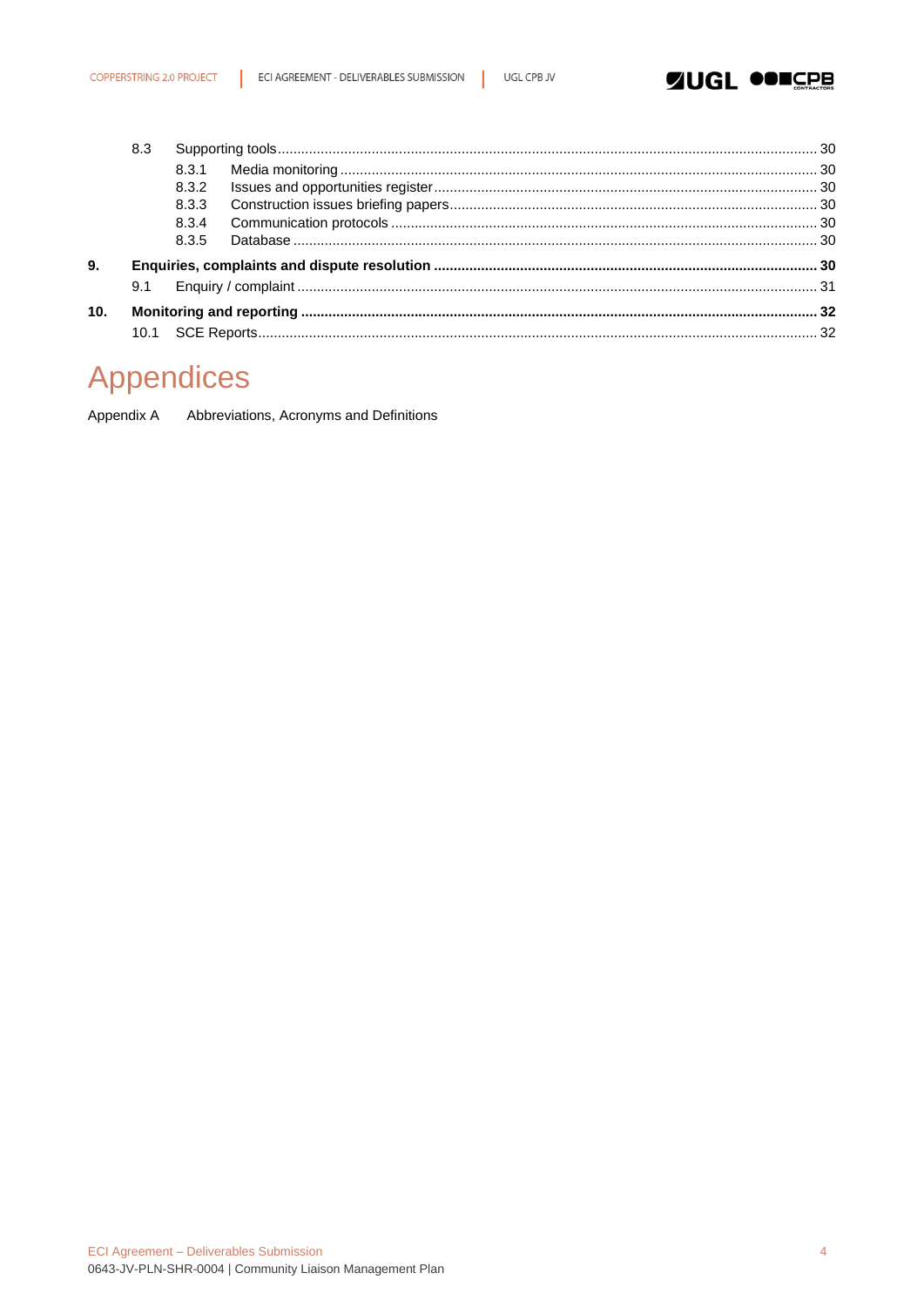

|     | 8.3 |       |  |
|-----|-----|-------|--|
|     |     |       |  |
|     |     | 8.3.2 |  |
|     |     | 8.3.3 |  |
|     |     | 8.3.4 |  |
|     |     | 8.3.5 |  |
| 9.  |     |       |  |
|     | 9.1 |       |  |
| 10. |     |       |  |
|     |     |       |  |
|     |     |       |  |

# **Appendices**

Appendix A Abbreviations, Acronyms and Definitions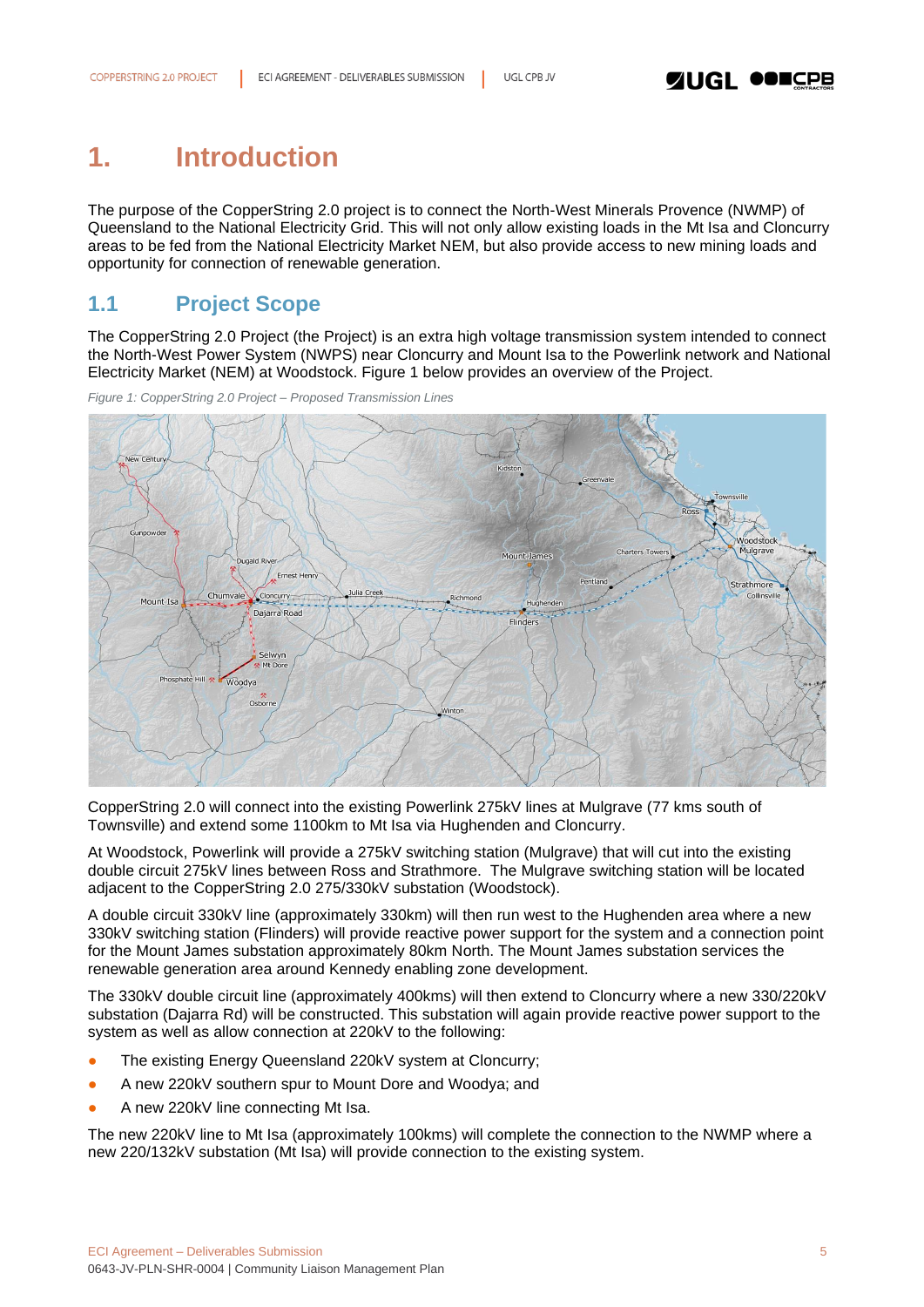# <span id="page-4-0"></span>**1. Introduction**

The purpose of the CopperString 2.0 project is to connect the North-West Minerals Provence (NWMP) of Queensland to the National Electricity Grid. This will not only allow existing loads in the Mt Isa and Cloncurry areas to be fed from the National Electricity Market NEM, but also provide access to new mining loads and opportunity for connection of renewable generation.

### <span id="page-4-1"></span>**1.1 Project Scope**

The CopperString 2.0 Project (the Project) is an extra high voltage transmission system intended to connect the North-West Power System (NWPS) near Cloncurry and Mount Isa to the Powerlink network and National Electricity Market (NEM) at Woodstock. Figure 1 below provides an overview of the Project.

*Figure 1: CopperString 2.0 Project – Proposed Transmission Lines*



CopperString 2.0 will connect into the existing Powerlink 275kV lines at Mulgrave (77 kms south of Townsville) and extend some 1100km to Mt Isa via Hughenden and Cloncurry.

At Woodstock, Powerlink will provide a 275kV switching station (Mulgrave) that will cut into the existing double circuit 275kV lines between Ross and Strathmore. The Mulgrave switching station will be located adjacent to the CopperString 2.0 275/330kV substation (Woodstock).

A double circuit 330kV line (approximately 330km) will then run west to the Hughenden area where a new 330kV switching station (Flinders) will provide reactive power support for the system and a connection point for the Mount James substation approximately 80km North. The Mount James substation services the renewable generation area around Kennedy enabling zone development.

The 330kV double circuit line (approximately 400kms) will then extend to Cloncurry where a new 330/220kV substation (Dajarra Rd) will be constructed. This substation will again provide reactive power support to the system as well as allow connection at 220kV to the following:

- The existing Energy Queensland 220kV system at Cloncurry;
- A new 220kV southern spur to Mount Dore and Woodya; and
- A new 220kV line connecting Mt Isa.

The new 220kV line to Mt Isa (approximately 100kms) will complete the connection to the NWMP where a new 220/132kV substation (Mt Isa) will provide connection to the existing system.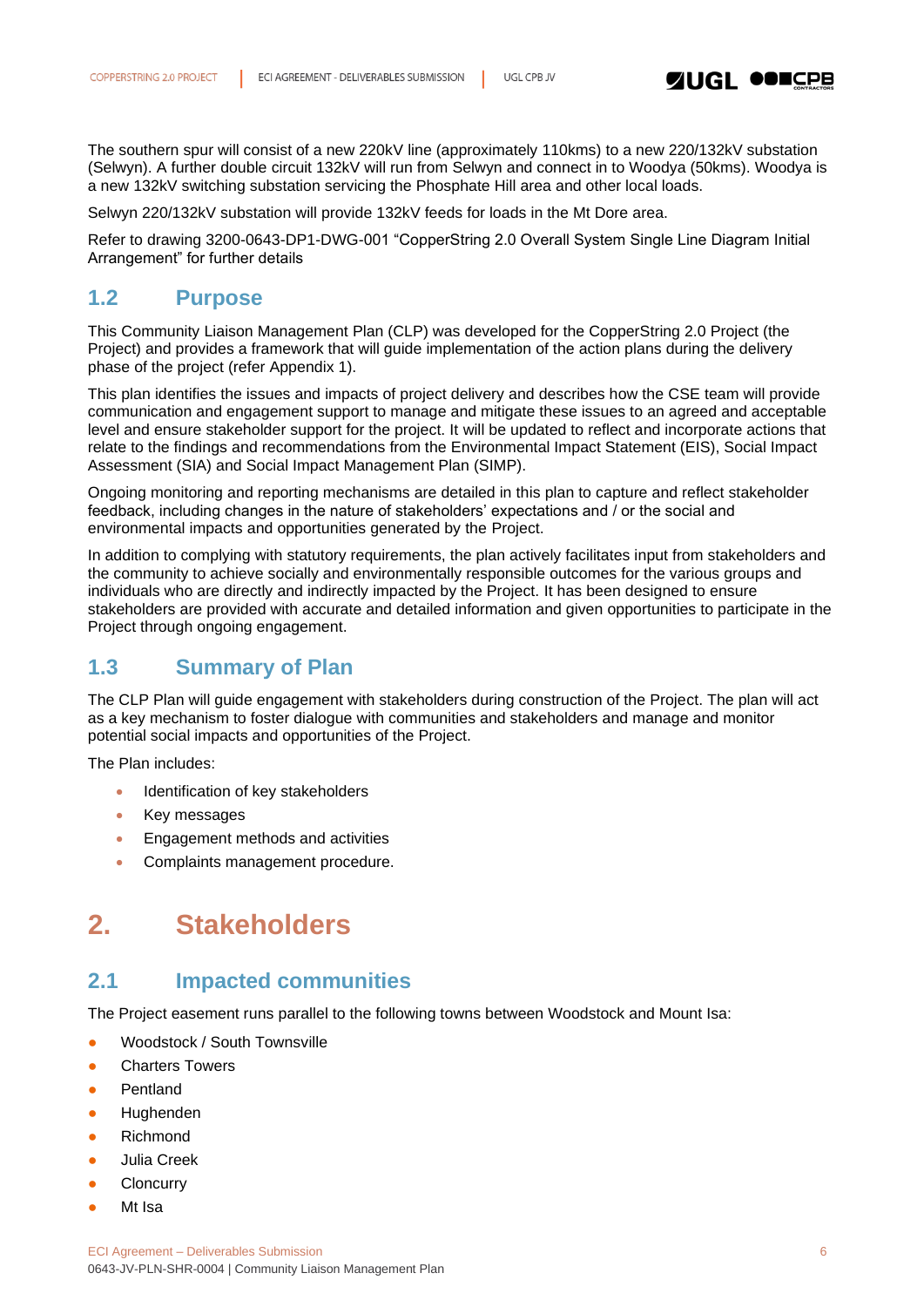

The southern spur will consist of a new 220kV line (approximately 110kms) to a new 220/132kV substation (Selwyn). A further double circuit 132kV will run from Selwyn and connect in to Woodya (50kms). Woodya is a new 132kV switching substation servicing the Phosphate Hill area and other local loads.

Selwyn 220/132kV substation will provide 132kV feeds for loads in the Mt Dore area.

Refer to drawing 3200-0643-DP1-DWG-001 "CopperString 2.0 Overall System Single Line Diagram Initial Arrangement" for further details

### <span id="page-5-0"></span>**1.2 Purpose**

This Community Liaison Management Plan (CLP) was developed for the CopperString 2.0 Project (the Project) and provides a framework that will guide implementation of the action plans during the delivery phase of the project (refer Appendix 1).

This plan identifies the issues and impacts of project delivery and describes how the CSE team will provide communication and engagement support to manage and mitigate these issues to an agreed and acceptable level and ensure stakeholder support for the project. It will be updated to reflect and incorporate actions that relate to the findings and recommendations from the Environmental Impact Statement (EIS), Social Impact Assessment (SIA) and Social Impact Management Plan (SIMP).

Ongoing monitoring and reporting mechanisms are detailed in this plan to capture and reflect stakeholder feedback, including changes in the nature of stakeholders' expectations and / or the social and environmental impacts and opportunities generated by the Project.

In addition to complying with statutory requirements, the plan actively facilitates input from stakeholders and the community to achieve socially and environmentally responsible outcomes for the various groups and individuals who are directly and indirectly impacted by the Project. It has been designed to ensure stakeholders are provided with accurate and detailed information and given opportunities to participate in the Project through ongoing engagement.

### <span id="page-5-1"></span>**1.3 Summary of Plan**

The CLP Plan will guide engagement with stakeholders during construction of the Project. The plan will act as a key mechanism to foster dialogue with communities and stakeholders and manage and monitor potential social impacts and opportunities of the Project.

The Plan includes:

- Identification of key stakeholders
- Key messages
- Engagement methods and activities
- Complaints management procedure.

# <span id="page-5-2"></span>**2. Stakeholders**

### <span id="page-5-3"></span>**2.1 Impacted communities**

The Project easement runs parallel to the following towns between Woodstock and Mount Isa:

- Woodstock / South Townsville
- **Charters Towers**
- **Pentland**
- Hughenden
- **Richmond**
- Julia Creek
- **Cloncurry**
- Mt Isa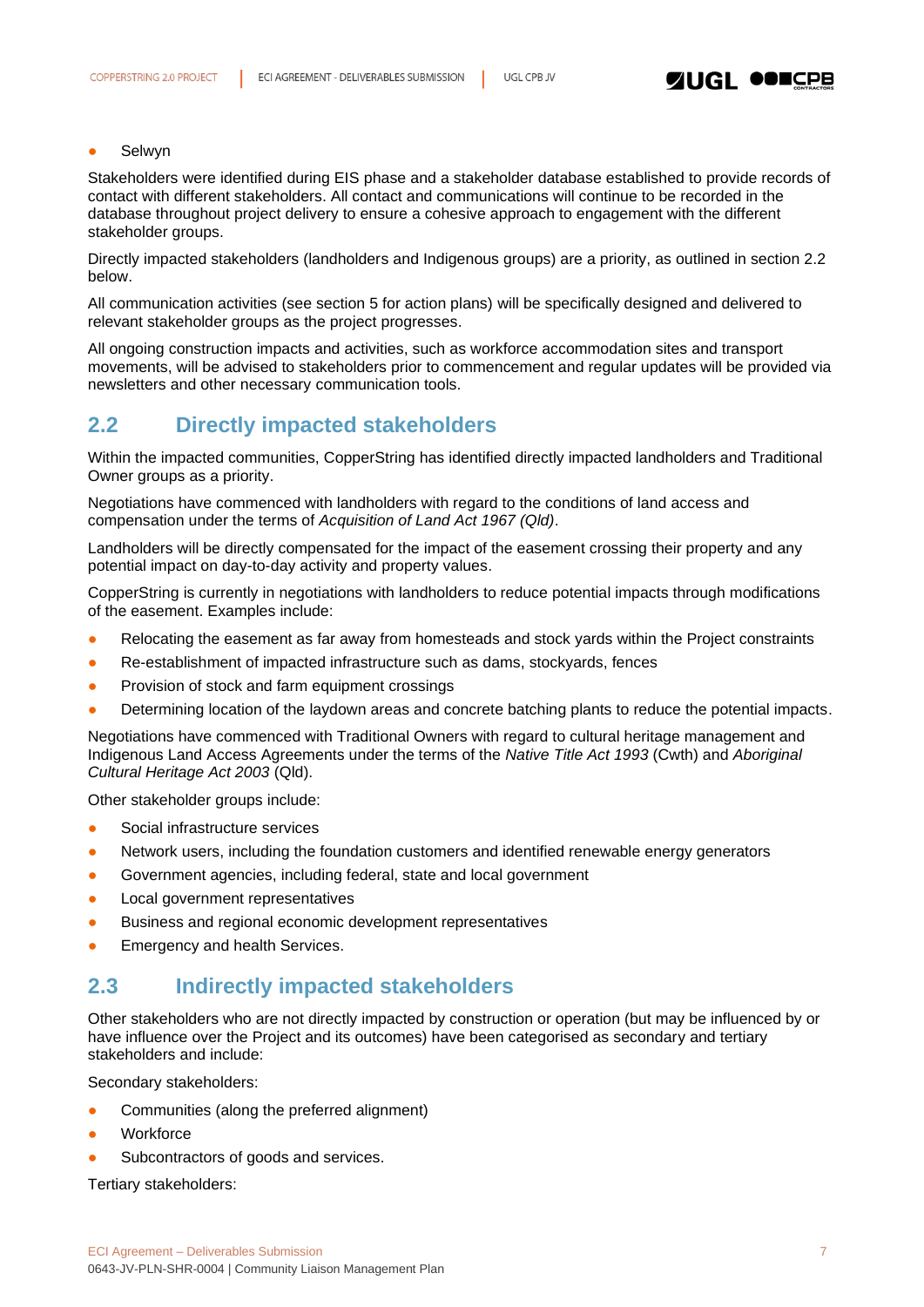### **Selwyn**

Stakeholders were identified during EIS phase and a stakeholder database established to provide records of contact with different stakeholders. All contact and communications will continue to be recorded in the database throughout project delivery to ensure a cohesive approach to engagement with the different stakeholder groups.

Directly impacted stakeholders (landholders and Indigenous groups) are a priority, as outlined in section 2.2 below.

All communication activities (see section 5 for action plans) will be specifically designed and delivered to relevant stakeholder groups as the project progresses.

All ongoing construction impacts and activities, such as workforce accommodation sites and transport movements, will be advised to stakeholders prior to commencement and regular updates will be provided via newsletters and other necessary communication tools.

### <span id="page-6-0"></span>**2.2 Directly impacted stakeholders**

Within the impacted communities, CopperString has identified directly impacted landholders and Traditional Owner groups as a priority.

Negotiations have commenced with landholders with regard to the conditions of land access and compensation under the terms of *Acquisition of Land Act 1967 (Qld)*.

Landholders will be directly compensated for the impact of the easement crossing their property and any potential impact on day-to-day activity and property values.

CopperString is currently in negotiations with landholders to reduce potential impacts through modifications of the easement. Examples include:

- Relocating the easement as far away from homesteads and stock yards within the Project constraints
- Re-establishment of impacted infrastructure such as dams, stockyards, fences
- Provision of stock and farm equipment crossings
- Determining location of the laydown areas and concrete batching plants to reduce the potential impacts.

Negotiations have commenced with Traditional Owners with regard to cultural heritage management and Indigenous Land Access Agreements under the terms of the *Native Title Act 1993* (Cwth) and *Aboriginal Cultural Heritage Act 2003* (Qld).

Other stakeholder groups include:

- Social infrastructure services
- Network users, including the foundation customers and identified renewable energy generators
- Government agencies, including federal, state and local government
- Local government representatives
- Business and regional economic development representatives
- **Emergency and health Services.**

### <span id="page-6-1"></span>**2.3 Indirectly impacted stakeholders**

Other stakeholders who are not directly impacted by construction or operation (but may be influenced by or have influence over the Project and its outcomes) have been categorised as secondary and tertiary stakeholders and include:

Secondary stakeholders:

- Communities (along the preferred alignment)
- Workforce
- Subcontractors of goods and services.

Tertiary stakeholders: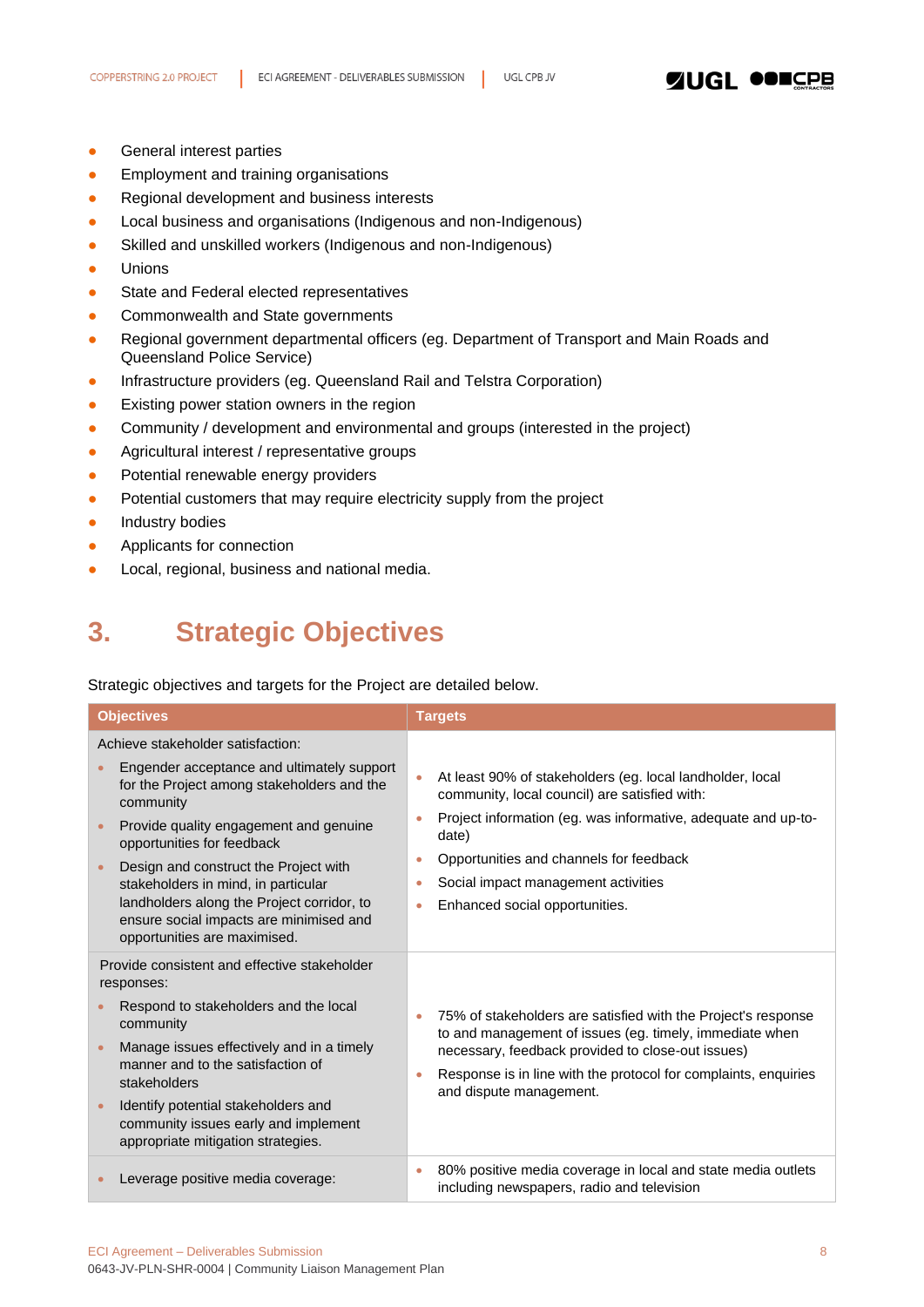### **ZUGL OOILER**

- **•** General interest parties
- **•** Employment and training organisations
- Regional development and business interests
- Local business and organisations (Indigenous and non-Indigenous)
- Skilled and unskilled workers (Indigenous and non-Indigenous)
- Unions
- State and Federal elected representatives
- Commonwealth and State governments
- Regional government departmental officers (eg. Department of Transport and Main Roads and Queensland Police Service)
- Infrastructure providers (eg. Queensland Rail and Telstra Corporation)
- Existing power station owners in the region
- Community / development and environmental and groups (interested in the project)
- Agricultural interest / representative groups
- Potential renewable energy providers
- Potential customers that may require electricity supply from the project
- **•** Industry bodies
- **•** Applicants for connection
- <span id="page-7-0"></span>● Local, regional, business and national media.

# **3. Strategic Objectives**

Strategic objectives and targets for the Project are detailed below.

| <b>Objectives</b>                                                                                                                                                                                                                                                                                                                                                                                                           | <b>Targets</b>                                                                                                                                                                                                                                                                                                |
|-----------------------------------------------------------------------------------------------------------------------------------------------------------------------------------------------------------------------------------------------------------------------------------------------------------------------------------------------------------------------------------------------------------------------------|---------------------------------------------------------------------------------------------------------------------------------------------------------------------------------------------------------------------------------------------------------------------------------------------------------------|
| Achieve stakeholder satisfaction:<br>Engender acceptance and ultimately support<br>for the Project among stakeholders and the<br>community<br>Provide quality engagement and genuine<br>opportunities for feedback<br>Design and construct the Project with<br>stakeholders in mind, in particular<br>landholders along the Project corridor, to<br>ensure social impacts are minimised and<br>opportunities are maximised. | At least 90% of stakeholders (eg. local landholder, local<br>community, local council) are satisfied with:<br>Project information (eg. was informative, adequate and up-to-<br>date)<br>Opportunities and channels for feedback<br>Social impact management activities<br>Enhanced social opportunities.<br>۰ |
| Provide consistent and effective stakeholder<br>responses:<br>Respond to stakeholders and the local<br>community<br>Manage issues effectively and in a timely<br>manner and to the satisfaction of<br>stakeholders<br>Identify potential stakeholders and<br>$\bullet$<br>community issues early and implement<br>appropriate mitigation strategies.                                                                        | 75% of stakeholders are satisfied with the Project's response<br>to and management of issues (eg. timely, immediate when<br>necessary, feedback provided to close-out issues)<br>Response is in line with the protocol for complaints, enquiries<br>and dispute management.                                   |
| Leverage positive media coverage:                                                                                                                                                                                                                                                                                                                                                                                           | 80% positive media coverage in local and state media outlets<br>۰<br>including newspapers, radio and television                                                                                                                                                                                               |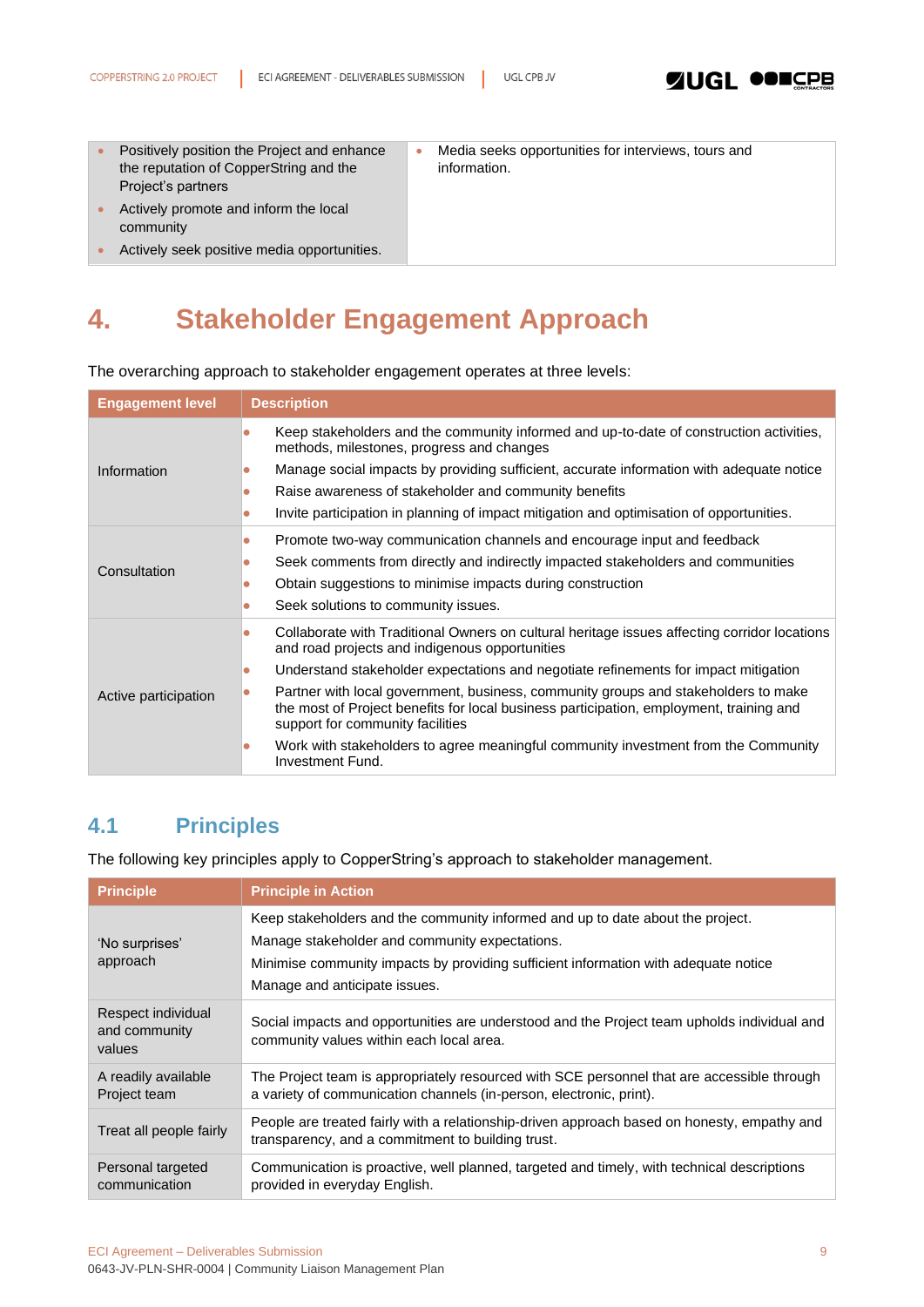

| $\bullet$ | Positively position the Project and enhance<br>the reputation of CopperString and the<br>Project's partners | Media seeks opportunities for interviews, tours and<br>information. |
|-----------|-------------------------------------------------------------------------------------------------------------|---------------------------------------------------------------------|
|           | Actively promote and inform the local<br>community                                                          |                                                                     |
|           | Actively seek positive media opportunities.                                                                 |                                                                     |

# <span id="page-8-0"></span>**4. Stakeholder Engagement Approach**

The overarching approach to stakeholder engagement operates at three levels:

| <b>Engagement level</b> | <b>Description</b>                                                                                                                                                                                                                                                                                                   |
|-------------------------|----------------------------------------------------------------------------------------------------------------------------------------------------------------------------------------------------------------------------------------------------------------------------------------------------------------------|
|                         | Keep stakeholders and the community informed and up-to-date of construction activities,<br>methods, milestones, progress and changes                                                                                                                                                                                 |
| Information             | Manage social impacts by providing sufficient, accurate information with adequate notice<br>$\bullet$                                                                                                                                                                                                                |
|                         | Raise awareness of stakeholder and community benefits<br>$\bullet$                                                                                                                                                                                                                                                   |
|                         | Invite participation in planning of impact mitigation and optimisation of opportunities.<br>$\bullet$                                                                                                                                                                                                                |
| Consultation            | Promote two-way communication channels and encourage input and feedback<br>$\bullet$<br>Seek comments from directly and indirectly impacted stakeholders and communities<br>$\bullet$<br>Obtain suggestions to minimise impacts during construction<br>$\bullet$<br>Seek solutions to community issues.<br>$\bullet$ |
|                         | Collaborate with Traditional Owners on cultural heritage issues affecting corridor locations<br>$\bullet$<br>and road projects and indigenous opportunities                                                                                                                                                          |
|                         | Understand stakeholder expectations and negotiate refinements for impact mitigation<br>$\bullet$                                                                                                                                                                                                                     |
| Active participation    | Partner with local government, business, community groups and stakeholders to make<br>$\bullet$<br>the most of Project benefits for local business participation, employment, training and<br>support for community facilities                                                                                       |
|                         | Work with stakeholders to agree meaningful community investment from the Community<br>$\bullet$<br>Investment Fund.                                                                                                                                                                                                  |

### <span id="page-8-1"></span>**4.1 Principles**

The following key principles apply to CopperString's approach to stakeholder management.

| <b>Principle</b>                              | <b>Principle in Action</b>                                                                                                                                                                                                                               |
|-----------------------------------------------|----------------------------------------------------------------------------------------------------------------------------------------------------------------------------------------------------------------------------------------------------------|
| 'No surprises'<br>approach                    | Keep stakeholders and the community informed and up to date about the project.<br>Manage stakeholder and community expectations.<br>Minimise community impacts by providing sufficient information with adequate notice<br>Manage and anticipate issues. |
| Respect individual<br>and community<br>values | Social impacts and opportunities are understood and the Project team upholds individual and<br>community values within each local area.                                                                                                                  |
| A readily available<br>Project team           | The Project team is appropriately resourced with SCE personnel that are accessible through<br>a variety of communication channels (in-person, electronic, print).                                                                                        |
| Treat all people fairly                       | People are treated fairly with a relationship-driven approach based on honesty, empathy and<br>transparency, and a commitment to building trust.                                                                                                         |
| Personal targeted<br>communication            | Communication is proactive, well planned, targeted and timely, with technical descriptions<br>provided in everyday English.                                                                                                                              |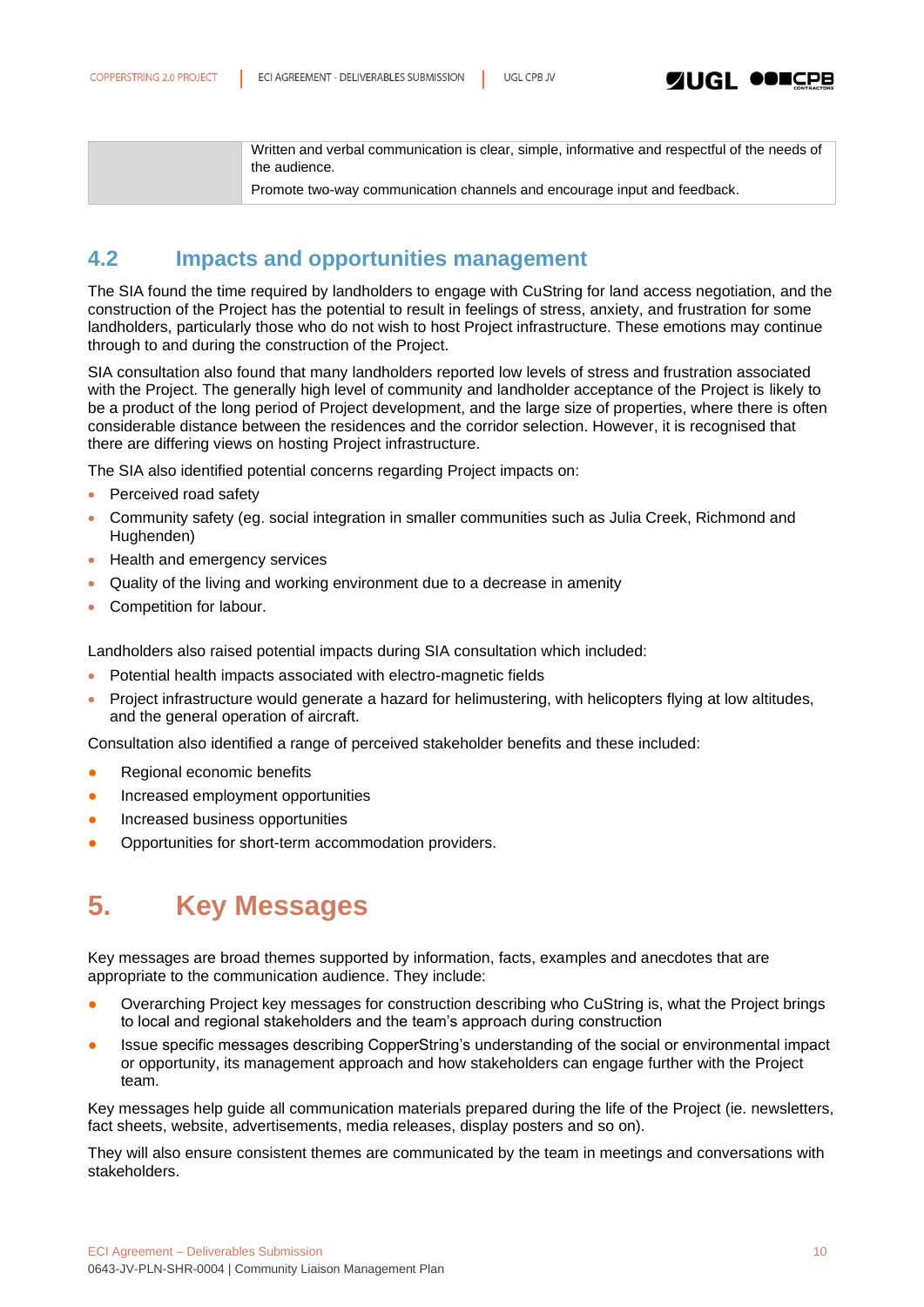Written and verbal communication is clear, simple, informative and respectful of the needs of the audience.

Promote two-way communication channels and encourage input and feedback.

### <span id="page-9-0"></span>**4.2 Impacts and opportunities management**

The SIA found the time required by landholders to engage with CuString for land access negotiation, and the construction of the Project has the potential to result in feelings of stress, anxiety, and frustration for some landholders, particularly those who do not wish to host Project infrastructure. These emotions may continue through to and during the construction of the Project.

SIA consultation also found that many landholders reported low levels of stress and frustration associated with the Project. The generally high level of community and landholder acceptance of the Project is likely to be a product of the long period of Project development, and the large size of properties, where there is often considerable distance between the residences and the corridor selection. However, it is recognised that there are differing views on hosting Project infrastructure.

The SIA also identified potential concerns regarding Project impacts on:

- Perceived road safety
- Community safety (eg. social integration in smaller communities such as Julia Creek, Richmond and Hughenden)
- Health and emergency services
- Quality of the living and working environment due to a decrease in amenity
- Competition for labour.

Landholders also raised potential impacts during SIA consultation which included:

- Potential health impacts associated with electro-magnetic fields
- Project infrastructure would generate a hazard for helimustering, with helicopters flying at low altitudes, and the general operation of aircraft.

Consultation also identified a range of perceived stakeholder benefits and these included:

- Regional economic benefits
- **•** Increased employment opportunities
- Increased business opportunities
- <span id="page-9-1"></span>Opportunities for short-term accommodation providers.

# **5. Key Messages**

Key messages are broad themes supported by information, facts, examples and anecdotes that are appropriate to the communication audience. They include:

- Overarching Project key messages for construction describing who CuString is, what the Project brings to local and regional stakeholders and the team's approach during construction
- Issue specific messages describing CopperString's understanding of the social or environmental impact or opportunity, its management approach and how stakeholders can engage further with the Project team.

Key messages help guide all communication materials prepared during the life of the Project (ie. newsletters, fact sheets, website, advertisements, media releases, display posters and so on).

They will also ensure consistent themes are communicated by the team in meetings and conversations with stakeholders.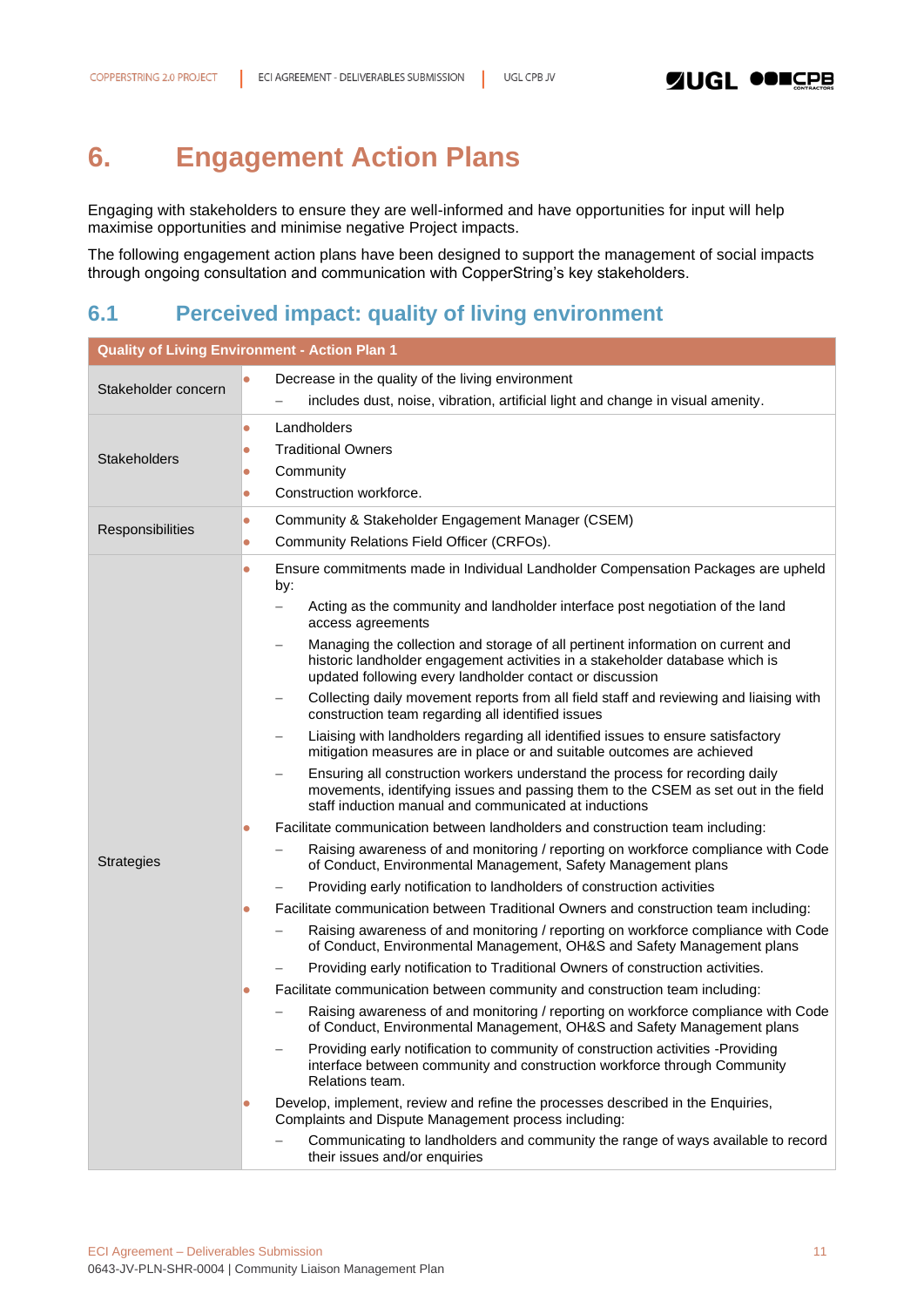# <span id="page-10-0"></span>**6. Engagement Action Plans**

Engaging with stakeholders to ensure they are well-informed and have opportunities for input will help maximise opportunities and minimise negative Project impacts.

The following engagement action plans have been designed to support the management of social impacts through ongoing consultation and communication with CopperString's key stakeholders.

### <span id="page-10-1"></span>**6.1 Perceived impact: quality of living environment**

| <b>Quality of Living Environment - Action Plan 1</b> |                                                                                                                                                                                                                             |  |  |
|------------------------------------------------------|-----------------------------------------------------------------------------------------------------------------------------------------------------------------------------------------------------------------------------|--|--|
|                                                      | Decrease in the quality of the living environment                                                                                                                                                                           |  |  |
| Stakeholder concern                                  | includes dust, noise, vibration, artificial light and change in visual amenity.                                                                                                                                             |  |  |
|                                                      | Landholders<br>$\bullet$                                                                                                                                                                                                    |  |  |
| Stakeholders                                         | <b>Traditional Owners</b><br>0                                                                                                                                                                                              |  |  |
|                                                      | Community<br>$\bullet$                                                                                                                                                                                                      |  |  |
|                                                      | Construction workforce.<br>$\bullet$                                                                                                                                                                                        |  |  |
| Responsibilities                                     | Community & Stakeholder Engagement Manager (CSEM)<br>$\bullet$                                                                                                                                                              |  |  |
|                                                      | Community Relations Field Officer (CRFOs).<br>$\bullet$                                                                                                                                                                     |  |  |
|                                                      | Ensure commitments made in Individual Landholder Compensation Packages are upheld<br>$\bullet$<br>by:                                                                                                                       |  |  |
|                                                      | Acting as the community and landholder interface post negotiation of the land<br>access agreements                                                                                                                          |  |  |
|                                                      | Managing the collection and storage of all pertinent information on current and<br>historic landholder engagement activities in a stakeholder database which is<br>updated following every landholder contact or discussion |  |  |
|                                                      | Collecting daily movement reports from all field staff and reviewing and liaising with<br>construction team regarding all identified issues                                                                                 |  |  |
|                                                      | Liaising with landholders regarding all identified issues to ensure satisfactory<br>mitigation measures are in place or and suitable outcomes are achieved                                                                  |  |  |
|                                                      | Ensuring all construction workers understand the process for recording daily<br>movements, identifying issues and passing them to the CSEM as set out in the field<br>staff induction manual and communicated at inductions |  |  |
|                                                      | Facilitate communication between landholders and construction team including:<br>$\bullet$                                                                                                                                  |  |  |
| <b>Strategies</b>                                    | Raising awareness of and monitoring / reporting on workforce compliance with Code<br>of Conduct, Environmental Management, Safety Management plans                                                                          |  |  |
|                                                      | Providing early notification to landholders of construction activities                                                                                                                                                      |  |  |
|                                                      | Facilitate communication between Traditional Owners and construction team including:<br>$\bullet$                                                                                                                           |  |  |
|                                                      | Raising awareness of and monitoring / reporting on workforce compliance with Code<br>of Conduct, Environmental Management, OH&S and Safety Management plans                                                                 |  |  |
|                                                      | Providing early notification to Traditional Owners of construction activities.                                                                                                                                              |  |  |
|                                                      | Facilitate communication between community and construction team including:<br>$\bullet$                                                                                                                                    |  |  |
|                                                      | Raising awareness of and monitoring / reporting on workforce compliance with Code<br>of Conduct, Environmental Management, OH&S and Safety Management plans                                                                 |  |  |
|                                                      | Providing early notification to community of construction activities -Providing<br>interface between community and construction workforce through Community<br>Relations team.                                              |  |  |
|                                                      | Develop, implement, review and refine the processes described in the Enquiries,<br>$\bullet$<br>Complaints and Dispute Management process including:                                                                        |  |  |
|                                                      | Communicating to landholders and community the range of ways available to record<br>their issues and/or enquiries                                                                                                           |  |  |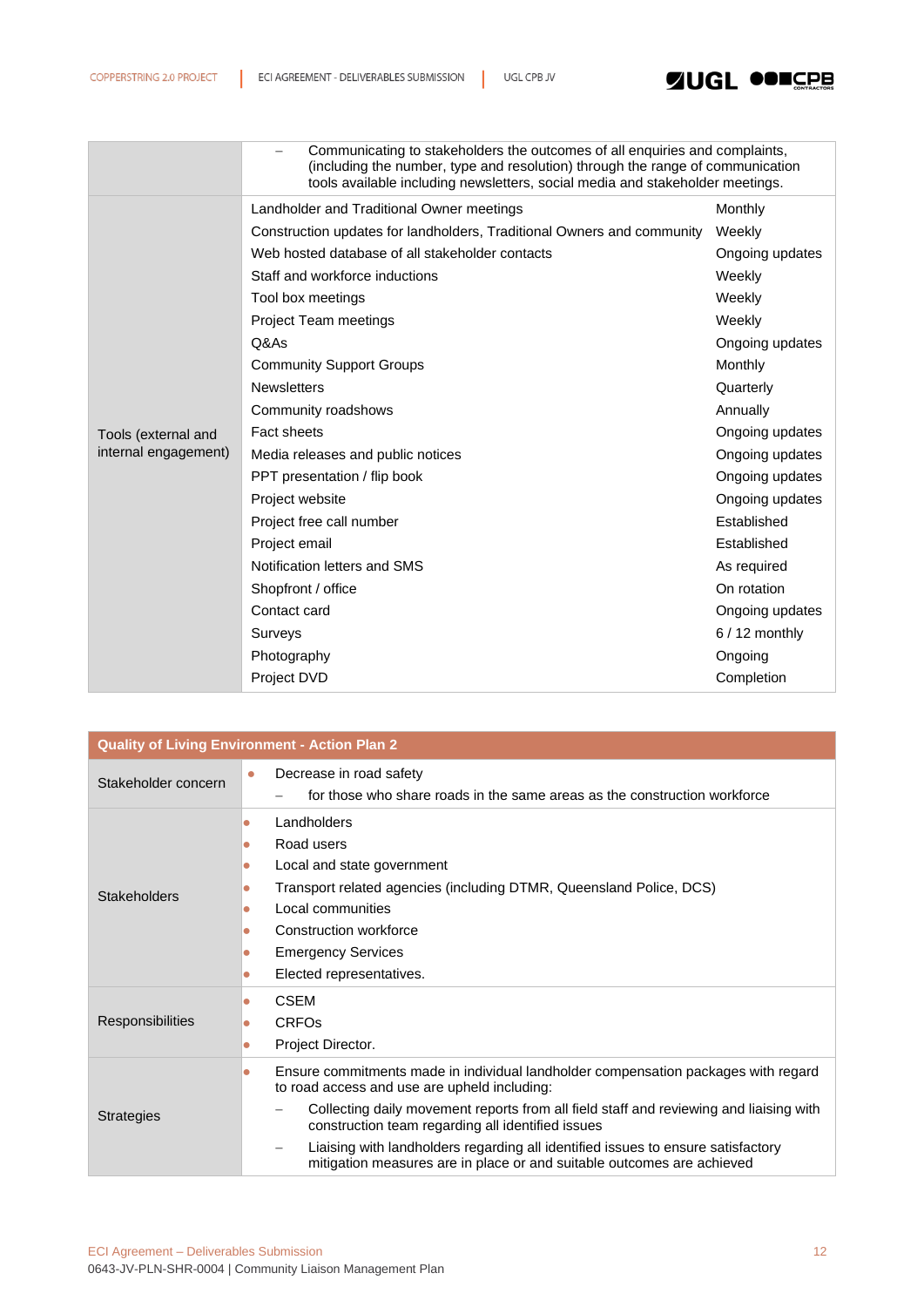

|                      | Communicating to stakeholders the outcomes of all enquiries and complaints,<br>(including the number, type and resolution) through the range of communication<br>tools available including newsletters, social media and stakeholder meetings. |                 |  |  |
|----------------------|------------------------------------------------------------------------------------------------------------------------------------------------------------------------------------------------------------------------------------------------|-----------------|--|--|
|                      | Landholder and Traditional Owner meetings                                                                                                                                                                                                      | Monthly         |  |  |
|                      | Construction updates for landholders, Traditional Owners and community                                                                                                                                                                         | Weekly          |  |  |
|                      | Web hosted database of all stakeholder contacts                                                                                                                                                                                                | Ongoing updates |  |  |
|                      | Staff and workforce inductions                                                                                                                                                                                                                 | Weekly          |  |  |
|                      | Tool box meetings                                                                                                                                                                                                                              | Weekly          |  |  |
|                      | Project Team meetings                                                                                                                                                                                                                          | Weekly          |  |  |
|                      | Q&As                                                                                                                                                                                                                                           | Ongoing updates |  |  |
|                      | <b>Community Support Groups</b>                                                                                                                                                                                                                | Monthly         |  |  |
|                      | <b>Newsletters</b>                                                                                                                                                                                                                             | Quarterly       |  |  |
|                      | Community roadshows                                                                                                                                                                                                                            | Annually        |  |  |
| Tools (external and  | <b>Fact sheets</b>                                                                                                                                                                                                                             | Ongoing updates |  |  |
| internal engagement) | Media releases and public notices                                                                                                                                                                                                              | Ongoing updates |  |  |
|                      | PPT presentation / flip book                                                                                                                                                                                                                   | Ongoing updates |  |  |
|                      | Project website                                                                                                                                                                                                                                | Ongoing updates |  |  |
|                      | Project free call number                                                                                                                                                                                                                       | Established     |  |  |
|                      | Project email                                                                                                                                                                                                                                  | Established     |  |  |
|                      | Notification letters and SMS                                                                                                                                                                                                                   | As required     |  |  |
|                      | Shopfront / office                                                                                                                                                                                                                             | On rotation     |  |  |
|                      | Contact card                                                                                                                                                                                                                                   | Ongoing updates |  |  |
|                      | Surveys                                                                                                                                                                                                                                        | $6/12$ monthly  |  |  |
|                      | Photography                                                                                                                                                                                                                                    | Ongoing         |  |  |
|                      | Project DVD                                                                                                                                                                                                                                    | Completion      |  |  |

| <b>Quality of Living Environment - Action Plan 2</b> |                                                                                                                                                                                                                                                                                                                                                                                                                                                              |  |  |
|------------------------------------------------------|--------------------------------------------------------------------------------------------------------------------------------------------------------------------------------------------------------------------------------------------------------------------------------------------------------------------------------------------------------------------------------------------------------------------------------------------------------------|--|--|
| Stakeholder concern                                  | Decrease in road safety<br>$\bullet$<br>for those who share roads in the same areas as the construction workforce                                                                                                                                                                                                                                                                                                                                            |  |  |
| <b>Stakeholders</b>                                  | Landholders<br>$\bullet$<br>Road users<br>$\bullet$<br>Local and state government<br>$\bullet$<br>Transport related agencies (including DTMR, Queensland Police, DCS)<br>$\bullet$<br>Local communities<br>Construction workforce<br>$\bullet$<br><b>Emergency Services</b><br>$\bullet$<br>Elected representatives.                                                                                                                                         |  |  |
| <b>Responsibilities</b>                              | <b>CSEM</b><br>$\bullet$<br><b>CRFO<sub>s</sub></b><br>۰<br>Project Director.<br>$\bullet$                                                                                                                                                                                                                                                                                                                                                                   |  |  |
| <b>Strategies</b>                                    | Ensure commitments made in individual landholder compensation packages with regard<br>$\bullet$<br>to road access and use are upheld including:<br>Collecting daily movement reports from all field staff and reviewing and liaising with<br>construction team regarding all identified issues<br>Liaising with landholders regarding all identified issues to ensure satisfactory<br>mitigation measures are in place or and suitable outcomes are achieved |  |  |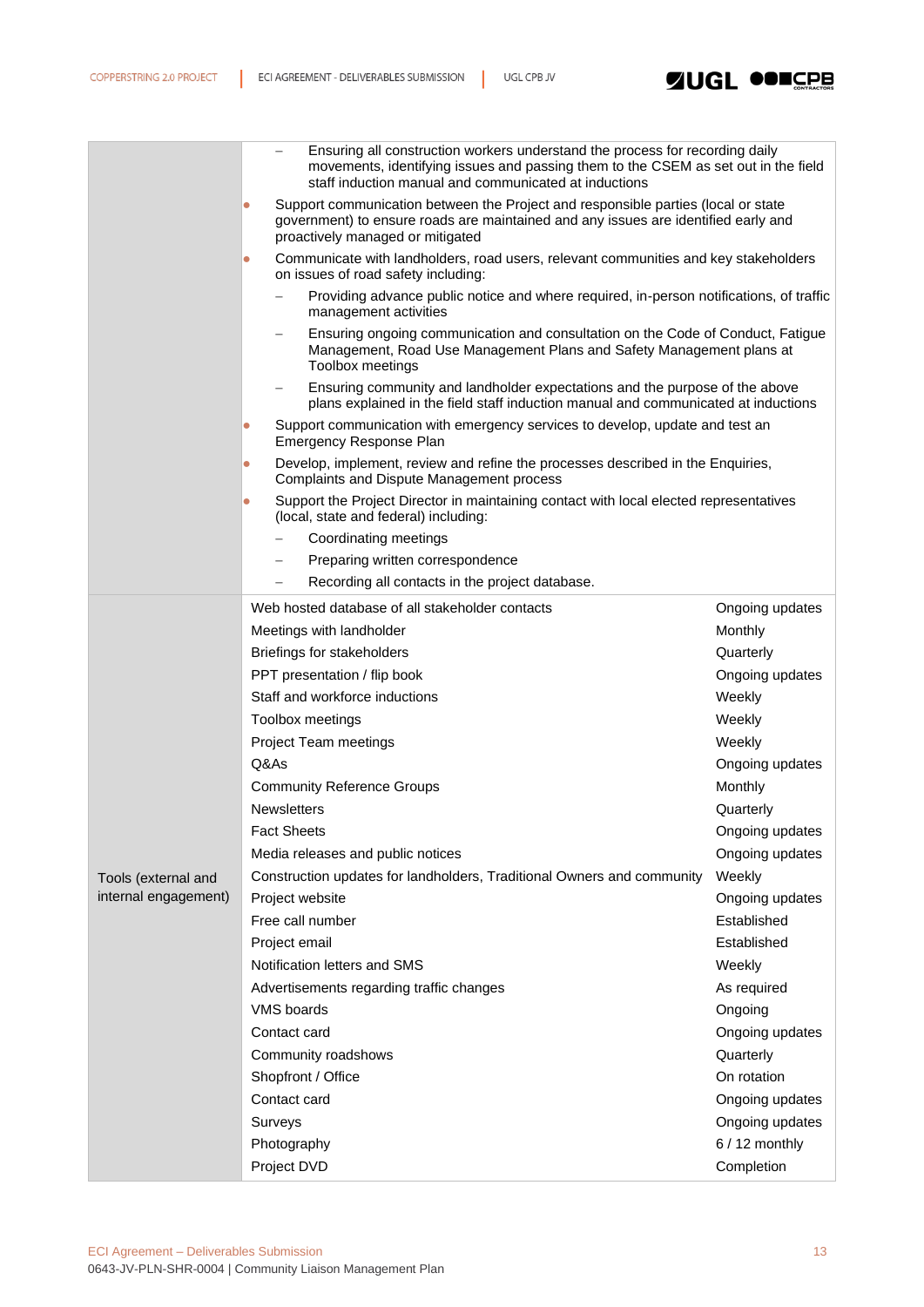

|                                             | Ensuring all construction workers understand the process for recording daily<br>movements, identifying issues and passing them to the CSEM as set out in the field<br>staff induction manual and communicated at inductions |                 |  |  |  |
|---------------------------------------------|-----------------------------------------------------------------------------------------------------------------------------------------------------------------------------------------------------------------------------|-----------------|--|--|--|
|                                             | Support communication between the Project and responsible parties (local or state<br>$\bullet$<br>government) to ensure roads are maintained and any issues are identified early and<br>proactively managed or mitigated    |                 |  |  |  |
|                                             | Communicate with landholders, road users, relevant communities and key stakeholders<br>$\bullet$<br>on issues of road safety including:                                                                                     |                 |  |  |  |
|                                             | Providing advance public notice and where required, in-person notifications, of traffic<br>management activities                                                                                                            |                 |  |  |  |
|                                             | Ensuring ongoing communication and consultation on the Code of Conduct, Fatigue<br>Management, Road Use Management Plans and Safety Management plans at<br>Toolbox meetings                                                 |                 |  |  |  |
|                                             | Ensuring community and landholder expectations and the purpose of the above<br>plans explained in the field staff induction manual and communicated at inductions                                                           |                 |  |  |  |
|                                             | Support communication with emergency services to develop, update and test an<br>$\bullet$<br><b>Emergency Response Plan</b>                                                                                                 |                 |  |  |  |
|                                             | Develop, implement, review and refine the processes described in the Enquiries,<br>$\bullet$<br>Complaints and Dispute Management process                                                                                   |                 |  |  |  |
|                                             | Support the Project Director in maintaining contact with local elected representatives<br>$\bullet$<br>(local, state and federal) including:                                                                                |                 |  |  |  |
|                                             | Coordinating meetings                                                                                                                                                                                                       |                 |  |  |  |
|                                             | Preparing written correspondence                                                                                                                                                                                            |                 |  |  |  |
|                                             | Recording all contacts in the project database.                                                                                                                                                                             |                 |  |  |  |
|                                             | Web hosted database of all stakeholder contacts                                                                                                                                                                             | Ongoing updates |  |  |  |
|                                             | Meetings with landholder                                                                                                                                                                                                    | Monthly         |  |  |  |
|                                             | Briefings for stakeholders                                                                                                                                                                                                  | Quarterly       |  |  |  |
|                                             | PPT presentation / flip book                                                                                                                                                                                                | Ongoing updates |  |  |  |
|                                             | Staff and workforce inductions                                                                                                                                                                                              | Weekly          |  |  |  |
|                                             | Toolbox meetings                                                                                                                                                                                                            | Weekly          |  |  |  |
|                                             | Project Team meetings                                                                                                                                                                                                       | Weekly          |  |  |  |
|                                             | Q&As                                                                                                                                                                                                                        | Ongoing updates |  |  |  |
|                                             | <b>Community Reference Groups</b>                                                                                                                                                                                           | Monthly         |  |  |  |
|                                             | <b>Newsletters</b>                                                                                                                                                                                                          | Quarterly       |  |  |  |
|                                             | <b>Fact Sheets</b>                                                                                                                                                                                                          | Ongoing updates |  |  |  |
|                                             | Media releases and public notices                                                                                                                                                                                           | Ongoing updates |  |  |  |
|                                             | Construction updates for landholders, Traditional Owners and community                                                                                                                                                      | Weekly          |  |  |  |
| Tools (external and<br>internal engagement) | Project website                                                                                                                                                                                                             | Ongoing updates |  |  |  |
|                                             | Free call number                                                                                                                                                                                                            | Established     |  |  |  |
|                                             | Project email                                                                                                                                                                                                               | Established     |  |  |  |
|                                             | Notification letters and SMS                                                                                                                                                                                                | Weekly          |  |  |  |
|                                             | Advertisements regarding traffic changes                                                                                                                                                                                    | As required     |  |  |  |
|                                             | <b>VMS</b> boards                                                                                                                                                                                                           | Ongoing         |  |  |  |
|                                             | Contact card                                                                                                                                                                                                                | Ongoing updates |  |  |  |
|                                             | Community roadshows                                                                                                                                                                                                         | Quarterly       |  |  |  |
|                                             | Shopfront / Office                                                                                                                                                                                                          | On rotation     |  |  |  |
|                                             | Contact card                                                                                                                                                                                                                |                 |  |  |  |
|                                             |                                                                                                                                                                                                                             | Ongoing updates |  |  |  |
|                                             | Surveys                                                                                                                                                                                                                     | Ongoing updates |  |  |  |
|                                             | Photography                                                                                                                                                                                                                 | $6/12$ monthly  |  |  |  |
|                                             | Project DVD                                                                                                                                                                                                                 | Completion      |  |  |  |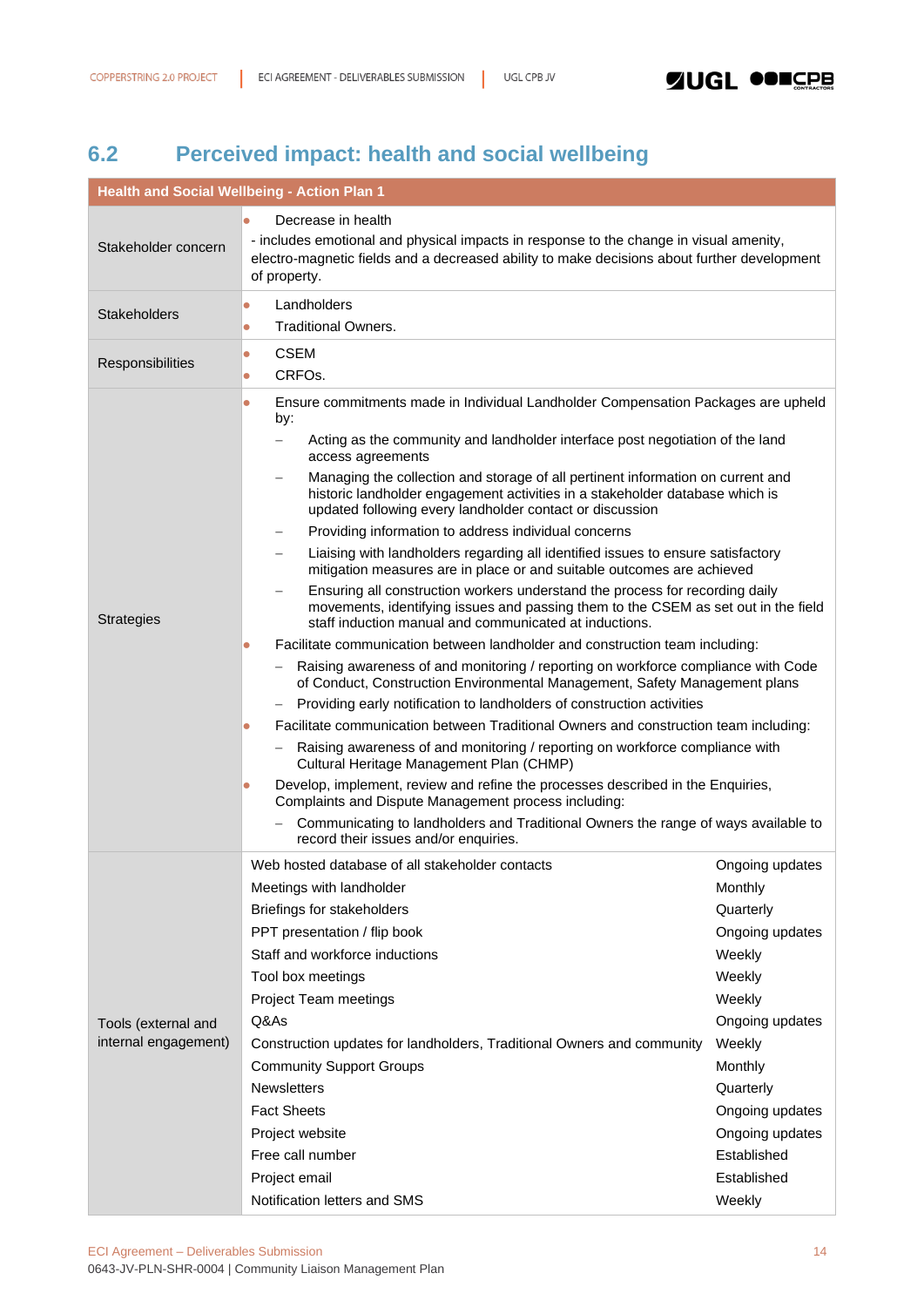# <span id="page-13-0"></span>**6.2 Perceived impact: health and social wellbeing**

| <b>Health and Social Wellbeing - Action Plan 1</b> |                                                                                                                                                                                                                                                   |                 |  |
|----------------------------------------------------|---------------------------------------------------------------------------------------------------------------------------------------------------------------------------------------------------------------------------------------------------|-----------------|--|
| Decrease in health<br>$\bullet$                    |                                                                                                                                                                                                                                                   |                 |  |
| Stakeholder concern                                | - includes emotional and physical impacts in response to the change in visual amenity,<br>electro-magnetic fields and a decreased ability to make decisions about further development<br>of property.                                             |                 |  |
| Landholders<br>$\bullet$<br><b>Stakeholders</b>    |                                                                                                                                                                                                                                                   |                 |  |
|                                                    | <b>Traditional Owners.</b><br>$\bullet$                                                                                                                                                                                                           |                 |  |
| Responsibilities                                   | <b>CSEM</b><br>$\bullet$                                                                                                                                                                                                                          |                 |  |
|                                                    | CRFO <sub>s</sub> .<br>$\bullet$                                                                                                                                                                                                                  |                 |  |
|                                                    | Ensure commitments made in Individual Landholder Compensation Packages are upheld<br>$\bullet$<br>by:                                                                                                                                             |                 |  |
|                                                    | Acting as the community and landholder interface post negotiation of the land<br>$\overline{\phantom{0}}$<br>access agreements                                                                                                                    |                 |  |
|                                                    | Managing the collection and storage of all pertinent information on current and<br>historic landholder engagement activities in a stakeholder database which is<br>updated following every landholder contact or discussion                       |                 |  |
|                                                    | Providing information to address individual concerns<br>$\overline{\phantom{m}}$                                                                                                                                                                  |                 |  |
|                                                    | Liaising with landholders regarding all identified issues to ensure satisfactory<br>-<br>mitigation measures are in place or and suitable outcomes are achieved                                                                                   |                 |  |
| <b>Strategies</b>                                  | Ensuring all construction workers understand the process for recording daily<br>$\qquad \qquad -$<br>movements, identifying issues and passing them to the CSEM as set out in the field<br>staff induction manual and communicated at inductions. |                 |  |
|                                                    | Facilitate communication between landholder and construction team including:<br>$\bullet$                                                                                                                                                         |                 |  |
|                                                    | Raising awareness of and monitoring / reporting on workforce compliance with Code<br>of Conduct, Construction Environmental Management, Safety Management plans                                                                                   |                 |  |
|                                                    | Providing early notification to landholders of construction activities                                                                                                                                                                            |                 |  |
|                                                    | Facilitate communication between Traditional Owners and construction team including:<br>$\bullet$                                                                                                                                                 |                 |  |
|                                                    | Raising awareness of and monitoring / reporting on workforce compliance with<br>Cultural Heritage Management Plan (CHMP)                                                                                                                          |                 |  |
|                                                    | Develop, implement, review and refine the processes described in the Enquiries,<br>$\bullet$<br>Complaints and Dispute Management process including:                                                                                              |                 |  |
|                                                    | Communicating to landholders and Traditional Owners the range of ways available to<br>record their issues and/or enquiries.                                                                                                                       |                 |  |
|                                                    | Web hosted database of all stakeholder contacts                                                                                                                                                                                                   | Ongoing updates |  |
|                                                    | Meetings with landholder                                                                                                                                                                                                                          | Monthly         |  |
|                                                    | Briefings for stakeholders                                                                                                                                                                                                                        | Quarterly       |  |
|                                                    | PPT presentation / flip book                                                                                                                                                                                                                      | Ongoing updates |  |
|                                                    | Staff and workforce inductions                                                                                                                                                                                                                    | Weekly          |  |
|                                                    | Tool box meetings                                                                                                                                                                                                                                 | Weekly          |  |
|                                                    | Project Team meetings                                                                                                                                                                                                                             | Weekly          |  |
| Tools (external and                                | Q&As                                                                                                                                                                                                                                              | Ongoing updates |  |
| internal engagement)                               | Construction updates for landholders, Traditional Owners and community                                                                                                                                                                            | Weekly          |  |
|                                                    | <b>Community Support Groups</b>                                                                                                                                                                                                                   | Monthly         |  |
|                                                    | <b>Newsletters</b>                                                                                                                                                                                                                                | Quarterly       |  |
|                                                    | <b>Fact Sheets</b>                                                                                                                                                                                                                                | Ongoing updates |  |
|                                                    | Project website                                                                                                                                                                                                                                   | Ongoing updates |  |
|                                                    | Free call number                                                                                                                                                                                                                                  | Established     |  |
|                                                    | Project email                                                                                                                                                                                                                                     | Established     |  |
|                                                    | Notification letters and SMS                                                                                                                                                                                                                      | Weekly          |  |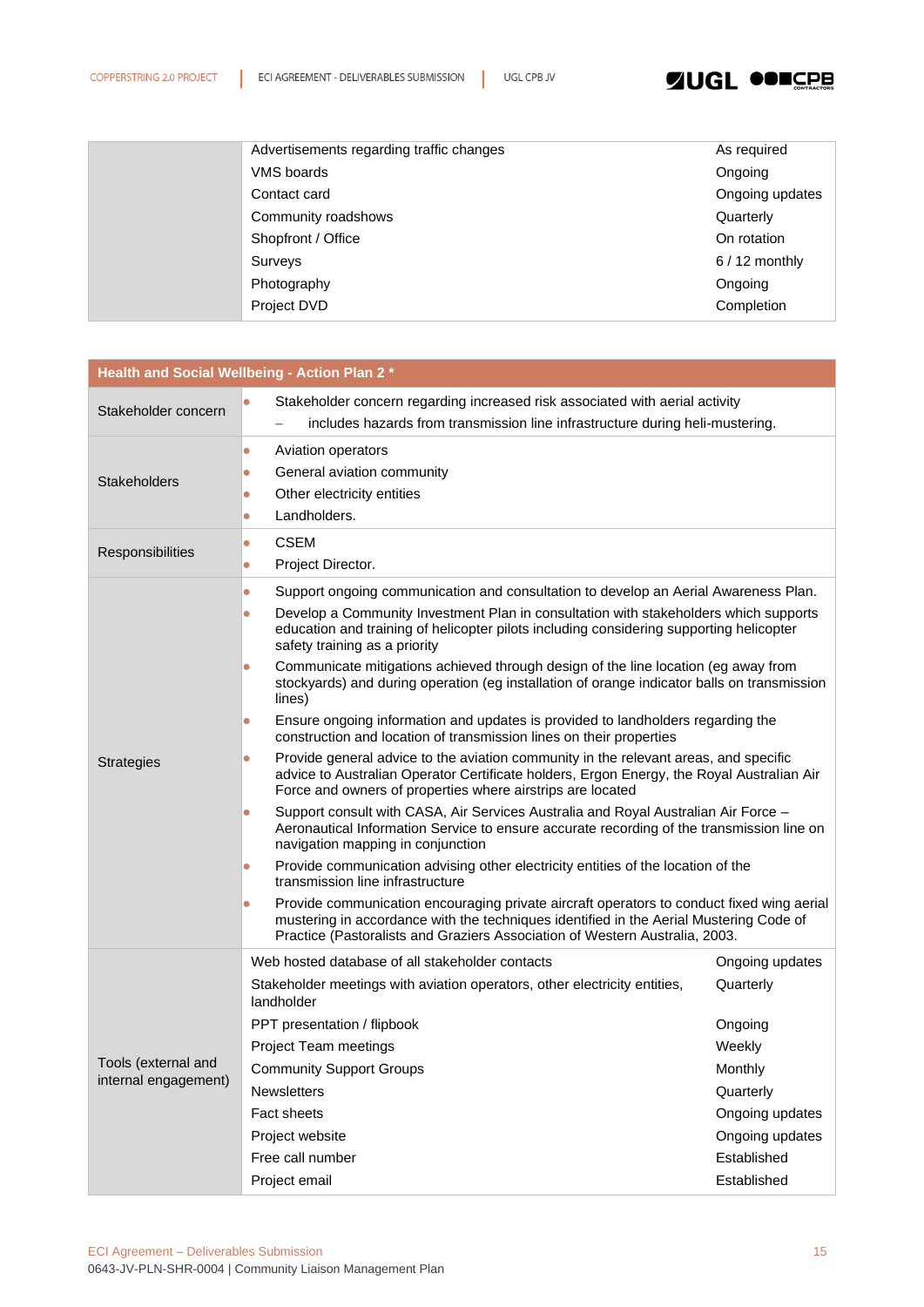

| Advertisements regarding traffic changes | As required     |
|------------------------------------------|-----------------|
| VMS boards                               | Ongoing         |
| Contact card                             | Ongoing updates |
| Community roadshows                      | Quarterly       |
| Shopfront / Office                       | On rotation     |
| Surveys                                  | $6/12$ monthly  |
| Photography                              | Ongoing         |
| Project DVD                              | Completion      |

|                      | Health and Social Wellbeing - Action Plan 2 *                                                                                                                                                                                                                                                                                     |                 |  |
|----------------------|-----------------------------------------------------------------------------------------------------------------------------------------------------------------------------------------------------------------------------------------------------------------------------------------------------------------------------------|-----------------|--|
| Stakeholder concern  | Stakeholder concern regarding increased risk associated with aerial activity<br>$\bullet$<br>includes hazards from transmission line infrastructure during heli-mustering.                                                                                                                                                        |                 |  |
| <b>Stakeholders</b>  | Aviation operators<br>$\bullet$<br>General aviation community<br>$\bullet$<br>Other electricity entities<br>$\bullet$<br>Landholders.<br>$\bullet$                                                                                                                                                                                |                 |  |
| Responsibilities     | <b>CSEM</b><br>$\bullet$<br>Project Director.<br>$\bullet$                                                                                                                                                                                                                                                                        |                 |  |
|                      | Support ongoing communication and consultation to develop an Aerial Awareness Plan.<br>$\bullet$<br>Develop a Community Investment Plan in consultation with stakeholders which supports<br>$\bullet$<br>education and training of helicopter pilots including considering supporting helicopter<br>safety training as a priority |                 |  |
|                      | Communicate mitigations achieved through design of the line location (eg away from<br>$\bullet$<br>stockyards) and during operation (eg installation of orange indicator balls on transmission<br>lines)                                                                                                                          |                 |  |
|                      | Ensure ongoing information and updates is provided to landholders regarding the<br>$\bullet$<br>construction and location of transmission lines on their properties                                                                                                                                                               |                 |  |
| <b>Strategies</b>    | Provide general advice to the aviation community in the relevant areas, and specific<br>$\bullet$<br>advice to Australian Operator Certificate holders, Ergon Energy, the Royal Australian Air<br>Force and owners of properties where airstrips are located                                                                      |                 |  |
|                      | Support consult with CASA, Air Services Australia and Royal Australian Air Force -<br>$\bullet$<br>Aeronautical Information Service to ensure accurate recording of the transmission line on<br>navigation mapping in conjunction                                                                                                 |                 |  |
|                      | Provide communication advising other electricity entities of the location of the<br>$\bullet$<br>transmission line infrastructure                                                                                                                                                                                                 |                 |  |
|                      | Provide communication encouraging private aircraft operators to conduct fixed wing aerial<br>$\bullet$<br>mustering in accordance with the techniques identified in the Aerial Mustering Code of<br>Practice (Pastoralists and Graziers Association of Western Australia, 2003.                                                   |                 |  |
|                      | Web hosted database of all stakeholder contacts                                                                                                                                                                                                                                                                                   | Ongoing updates |  |
|                      | Stakeholder meetings with aviation operators, other electricity entities,<br>landholder                                                                                                                                                                                                                                           | Quarterly       |  |
|                      | PPT presentation / flipbook                                                                                                                                                                                                                                                                                                       | Ongoing         |  |
|                      | Project Team meetings                                                                                                                                                                                                                                                                                                             | Weekly          |  |
| Tools (external and  | <b>Community Support Groups</b>                                                                                                                                                                                                                                                                                                   | Monthly         |  |
| internal engagement) | <b>Newsletters</b>                                                                                                                                                                                                                                                                                                                | Quarterly       |  |
|                      | Fact sheets                                                                                                                                                                                                                                                                                                                       | Ongoing updates |  |
|                      | Project website                                                                                                                                                                                                                                                                                                                   | Ongoing updates |  |
|                      | Free call number                                                                                                                                                                                                                                                                                                                  | Established     |  |
|                      | Project email                                                                                                                                                                                                                                                                                                                     | Established     |  |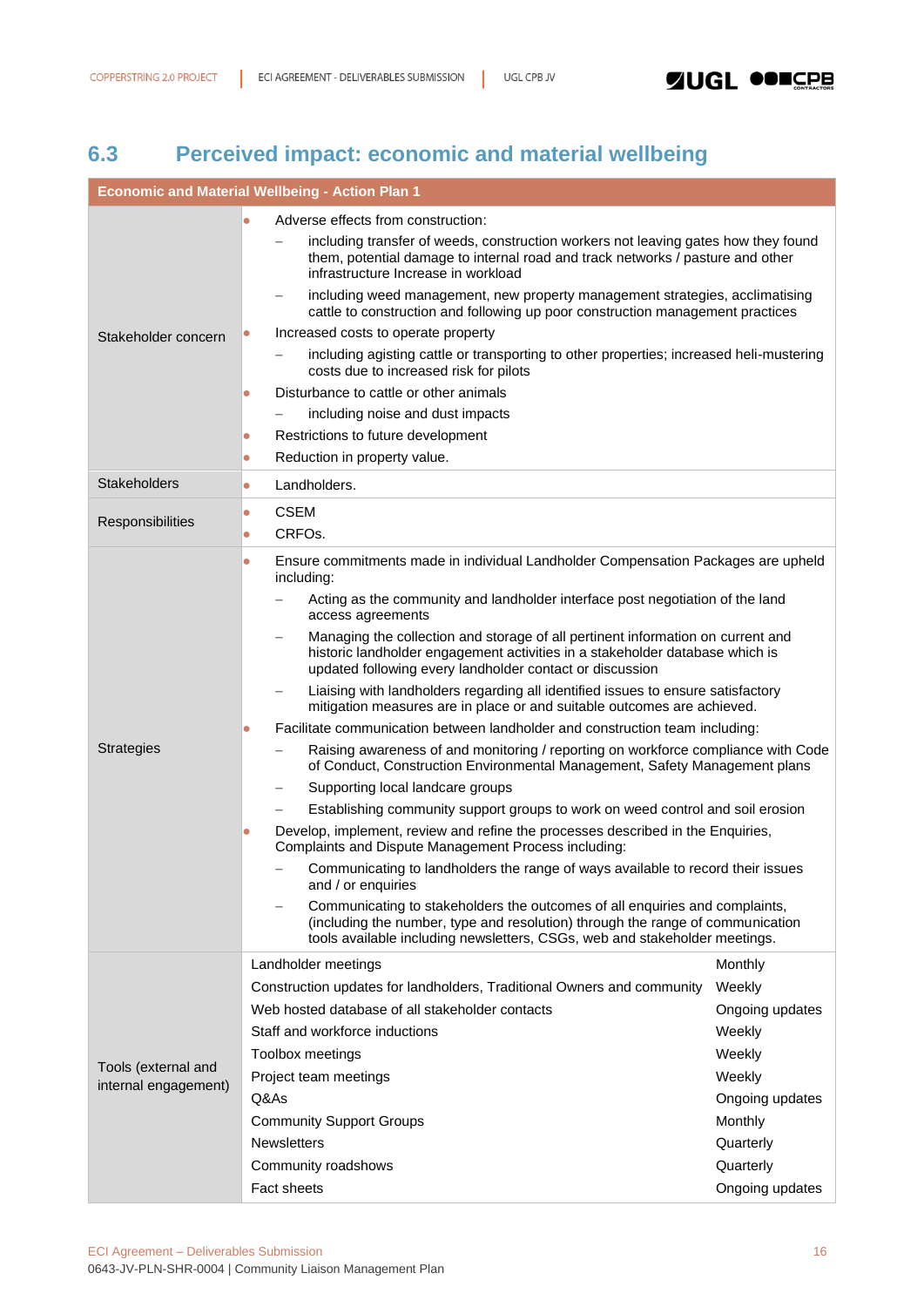# <span id="page-15-0"></span>**6.3 Perceived impact: economic and material wellbeing**

| <b>Economic and Material Wellbeing - Action Plan 1</b> |                                                                                                                                                                                                                                             |                 |  |
|--------------------------------------------------------|---------------------------------------------------------------------------------------------------------------------------------------------------------------------------------------------------------------------------------------------|-----------------|--|
|                                                        | Adverse effects from construction:                                                                                                                                                                                                          |                 |  |
|                                                        | including transfer of weeds, construction workers not leaving gates how they found<br>them, potential damage to internal road and track networks / pasture and other<br>infrastructure Increase in workload                                 |                 |  |
|                                                        | including weed management, new property management strategies, acclimatising<br>cattle to construction and following up poor construction management practices                                                                              |                 |  |
| Stakeholder concern                                    | Increased costs to operate property<br>$\bullet$                                                                                                                                                                                            |                 |  |
|                                                        | including agisting cattle or transporting to other properties; increased heli-mustering<br>costs due to increased risk for pilots                                                                                                           |                 |  |
|                                                        | Disturbance to cattle or other animals<br>$\bullet$                                                                                                                                                                                         |                 |  |
|                                                        | including noise and dust impacts                                                                                                                                                                                                            |                 |  |
|                                                        | Restrictions to future development<br>$\bullet$                                                                                                                                                                                             |                 |  |
|                                                        | Reduction in property value.<br>$\bullet$                                                                                                                                                                                                   |                 |  |
| <b>Stakeholders</b>                                    | Landholders.<br>$\bullet$                                                                                                                                                                                                                   |                 |  |
| Responsibilities                                       | <b>CSEM</b><br>0                                                                                                                                                                                                                            |                 |  |
|                                                        | CRFO <sub>s</sub> .<br>$\bullet$                                                                                                                                                                                                            |                 |  |
|                                                        | Ensure commitments made in individual Landholder Compensation Packages are upheld<br>$\bullet$<br>including:                                                                                                                                |                 |  |
|                                                        | Acting as the community and landholder interface post negotiation of the land<br>access agreements                                                                                                                                          |                 |  |
|                                                        | Managing the collection and storage of all pertinent information on current and<br>historic landholder engagement activities in a stakeholder database which is<br>updated following every landholder contact or discussion                 |                 |  |
|                                                        | Liaising with landholders regarding all identified issues to ensure satisfactory<br>mitigation measures are in place or and suitable outcomes are achieved.                                                                                 |                 |  |
|                                                        | Facilitate communication between landholder and construction team including:<br>O                                                                                                                                                           |                 |  |
| <b>Strategies</b>                                      | Raising awareness of and monitoring / reporting on workforce compliance with Code<br>of Conduct, Construction Environmental Management, Safety Management plans                                                                             |                 |  |
|                                                        | Supporting local landcare groups                                                                                                                                                                                                            |                 |  |
|                                                        | Establishing community support groups to work on weed control and soil erosion                                                                                                                                                              |                 |  |
|                                                        | Develop, implement, review and refine the processes described in the Enquiries,<br>Complaints and Dispute Management Process including:                                                                                                     |                 |  |
|                                                        | Communicating to landholders the range of ways available to record their issues<br>and / or enquiries                                                                                                                                       |                 |  |
|                                                        | Communicating to stakeholders the outcomes of all enquiries and complaints,<br>(including the number, type and resolution) through the range of communication<br>tools available including newsletters, CSGs, web and stakeholder meetings. |                 |  |
|                                                        | Landholder meetings                                                                                                                                                                                                                         | Monthly         |  |
|                                                        | Construction updates for landholders, Traditional Owners and community                                                                                                                                                                      | Weekly          |  |
|                                                        | Web hosted database of all stakeholder contacts                                                                                                                                                                                             | Ongoing updates |  |
|                                                        | Staff and workforce inductions                                                                                                                                                                                                              | Weekly          |  |
|                                                        | Toolbox meetings                                                                                                                                                                                                                            | Weekly          |  |
| Tools (external and<br>internal engagement)            | Project team meetings                                                                                                                                                                                                                       | Weekly          |  |
|                                                        | Q&As                                                                                                                                                                                                                                        | Ongoing updates |  |
|                                                        | <b>Community Support Groups</b>                                                                                                                                                                                                             | Monthly         |  |
|                                                        | <b>Newsletters</b>                                                                                                                                                                                                                          | Quarterly       |  |
|                                                        | Community roadshows                                                                                                                                                                                                                         | Quarterly       |  |
|                                                        | <b>Fact sheets</b>                                                                                                                                                                                                                          | Ongoing updates |  |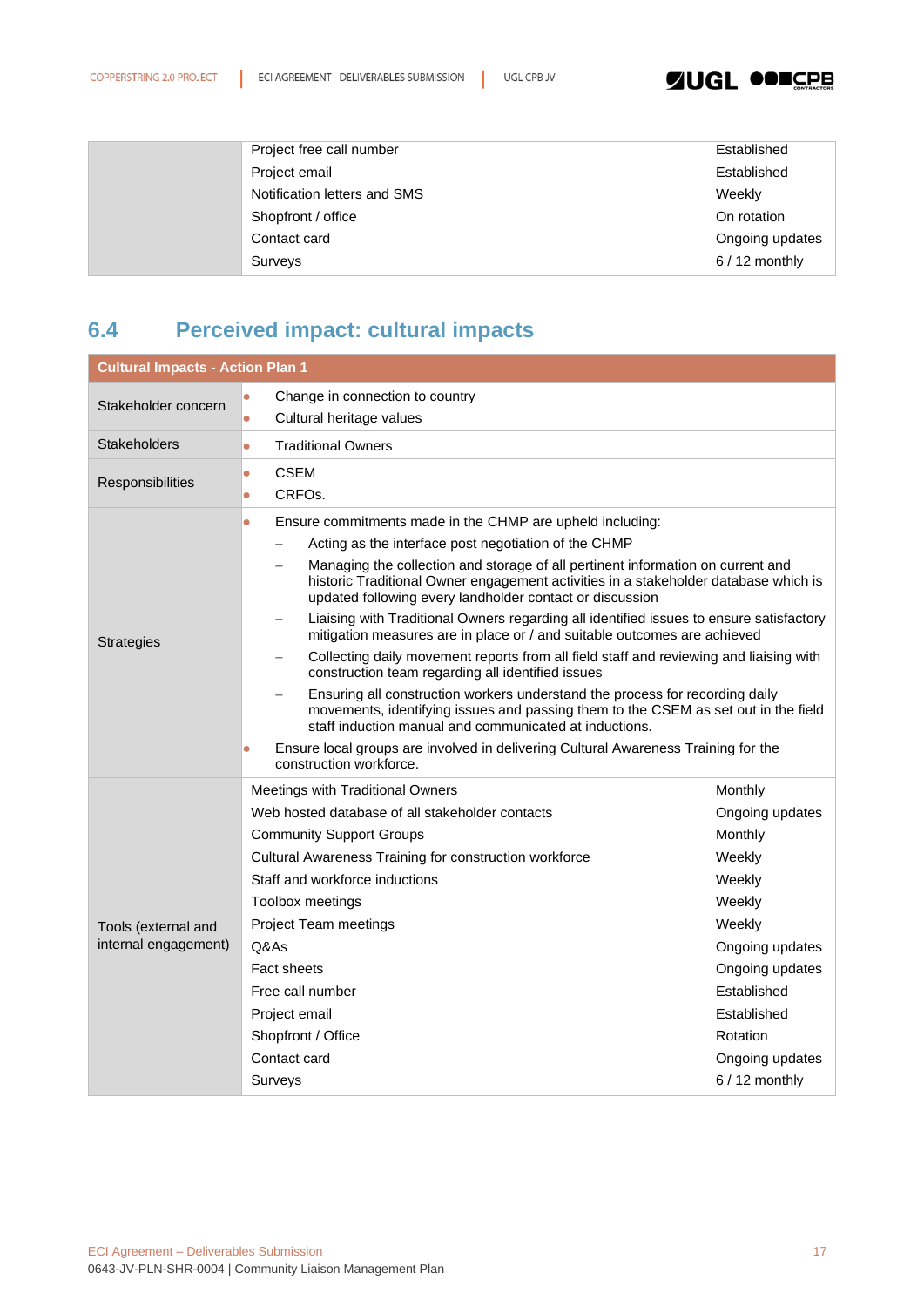### **SINGL ODECPB**

| Project free call number     | Established     |
|------------------------------|-----------------|
| Project email                | Established     |
| Notification letters and SMS | Weekly          |
| Shopfront / office           | On rotation     |
| Contact card                 | Ongoing updates |
| Surveys                      | $6/12$ monthly  |

# <span id="page-16-0"></span>**6.4 Perceived impact: cultural impacts**

| <b>Cultural Impacts - Action Plan 1</b> |                                                                                                                                                                                                                                    |                 |  |
|-----------------------------------------|------------------------------------------------------------------------------------------------------------------------------------------------------------------------------------------------------------------------------------|-----------------|--|
| Stakeholder concern                     | Change in connection to country                                                                                                                                                                                                    |                 |  |
|                                         | Cultural heritage values<br>$\bullet$                                                                                                                                                                                              |                 |  |
| <b>Stakeholders</b>                     | <b>Traditional Owners</b><br>$\bullet$                                                                                                                                                                                             |                 |  |
|                                         | <b>CSEM</b><br>۰                                                                                                                                                                                                                   |                 |  |
| Responsibilities                        | CRFO <sub>s</sub> .<br>٠                                                                                                                                                                                                           |                 |  |
|                                         | Ensure commitments made in the CHMP are upheld including:<br>$\bullet$                                                                                                                                                             |                 |  |
|                                         | Acting as the interface post negotiation of the CHMP                                                                                                                                                                               |                 |  |
|                                         | Managing the collection and storage of all pertinent information on current and<br>historic Traditional Owner engagement activities in a stakeholder database which is<br>updated following every landholder contact or discussion |                 |  |
| <b>Strategies</b>                       | Liaising with Traditional Owners regarding all identified issues to ensure satisfactory<br>$\qquad \qquad -$<br>mitigation measures are in place or / and suitable outcomes are achieved                                           |                 |  |
|                                         | Collecting daily movement reports from all field staff and reviewing and liaising with<br>$\overline{\phantom{0}}$<br>construction team regarding all identified issues                                                            |                 |  |
|                                         | Ensuring all construction workers understand the process for recording daily<br>movements, identifying issues and passing them to the CSEM as set out in the field<br>staff induction manual and communicated at inductions.       |                 |  |
|                                         | Ensure local groups are involved in delivering Cultural Awareness Training for the<br>$\bullet$<br>construction workforce.                                                                                                         |                 |  |
|                                         | Meetings with Traditional Owners                                                                                                                                                                                                   | Monthly         |  |
|                                         | Web hosted database of all stakeholder contacts                                                                                                                                                                                    | Ongoing updates |  |
|                                         | <b>Community Support Groups</b>                                                                                                                                                                                                    | Monthly         |  |
|                                         | Cultural Awareness Training for construction workforce                                                                                                                                                                             | Weekly          |  |
|                                         | Staff and workforce inductions                                                                                                                                                                                                     | Weekly          |  |
|                                         | Toolbox meetings                                                                                                                                                                                                                   | Weekly          |  |
| Tools (external and                     | Project Team meetings                                                                                                                                                                                                              | Weekly          |  |
| internal engagement)                    | Q&As                                                                                                                                                                                                                               | Ongoing updates |  |
|                                         | <b>Fact sheets</b>                                                                                                                                                                                                                 | Ongoing updates |  |
|                                         | Free call number                                                                                                                                                                                                                   | Established     |  |
|                                         | Project email                                                                                                                                                                                                                      | Established     |  |
|                                         | Shopfront / Office                                                                                                                                                                                                                 | Rotation        |  |
|                                         | Contact card                                                                                                                                                                                                                       | Ongoing updates |  |
|                                         | Surveys                                                                                                                                                                                                                            | $6/12$ monthly  |  |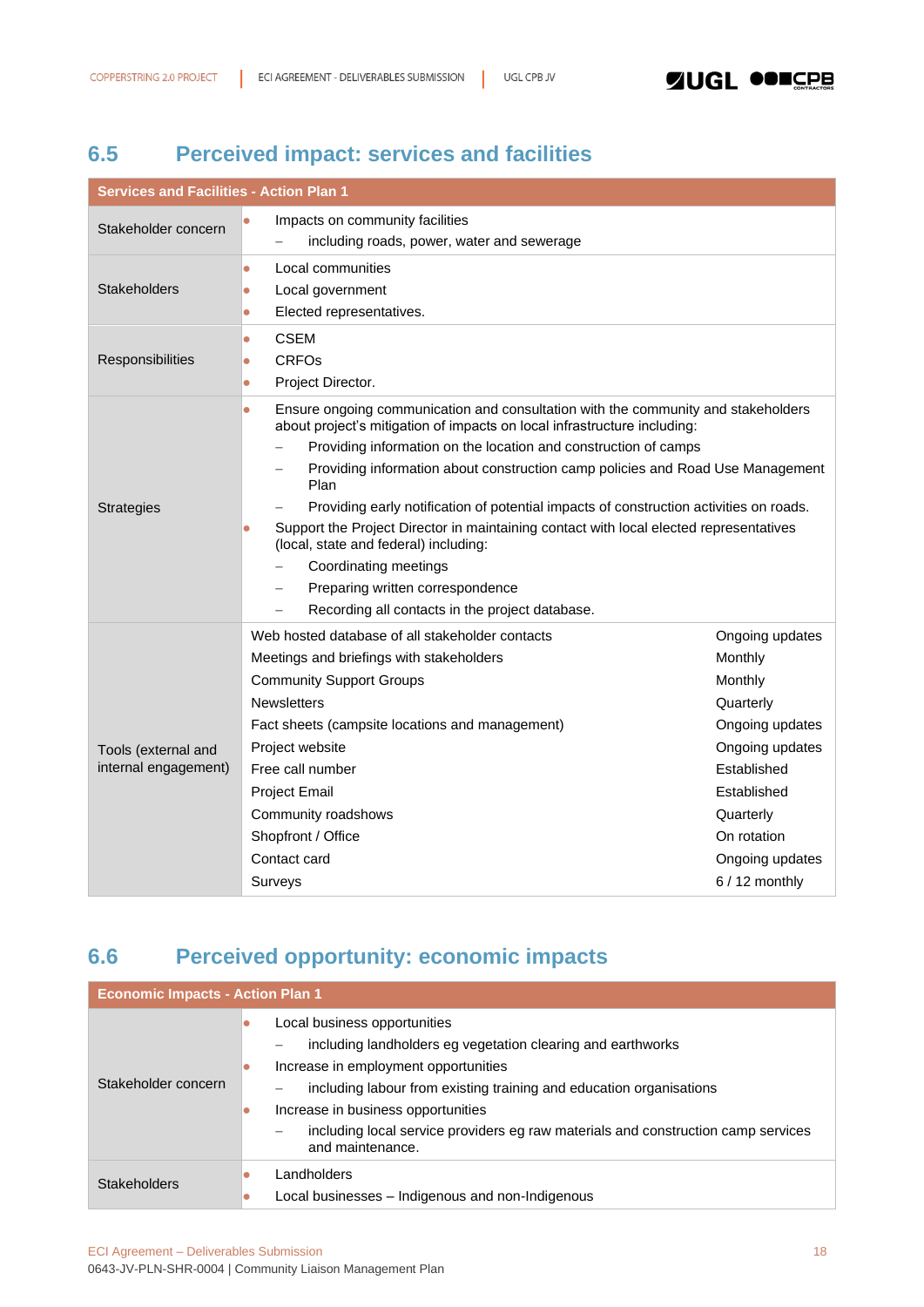# <span id="page-17-0"></span>**6.5 Perceived impact: services and facilities**

| <b>Services and Facilities - Action Plan 1</b> |                                                                                                                                                                                                                                                                                                                                                                                                                                                                                                                                                                                                                                                                                                   |                                                                                                                                                                                         |  |
|------------------------------------------------|---------------------------------------------------------------------------------------------------------------------------------------------------------------------------------------------------------------------------------------------------------------------------------------------------------------------------------------------------------------------------------------------------------------------------------------------------------------------------------------------------------------------------------------------------------------------------------------------------------------------------------------------------------------------------------------------------|-----------------------------------------------------------------------------------------------------------------------------------------------------------------------------------------|--|
| Stakeholder concern                            | Impacts on community facilities<br>$\bullet$<br>including roads, power, water and sewerage                                                                                                                                                                                                                                                                                                                                                                                                                                                                                                                                                                                                        |                                                                                                                                                                                         |  |
| <b>Stakeholders</b>                            | Local communities<br>$\bullet$<br>Local government<br>$\bullet$<br>Elected representatives.<br>$\bullet$                                                                                                                                                                                                                                                                                                                                                                                                                                                                                                                                                                                          |                                                                                                                                                                                         |  |
| Responsibilities                               | <b>CSEM</b><br>$\bullet$<br><b>CRFO<sub>s</sub></b><br>Ō<br>Project Director.<br>$\bullet$                                                                                                                                                                                                                                                                                                                                                                                                                                                                                                                                                                                                        |                                                                                                                                                                                         |  |
| <b>Strategies</b>                              | Ensure ongoing communication and consultation with the community and stakeholders<br>$\bullet$<br>about project's mitigation of impacts on local infrastructure including:<br>Providing information on the location and construction of camps<br>Providing information about construction camp policies and Road Use Management<br>Plan<br>Providing early notification of potential impacts of construction activities on roads.<br>Support the Project Director in maintaining contact with local elected representatives<br>$\bullet$<br>(local, state and federal) including:<br>Coordinating meetings<br>Preparing written correspondence<br>Recording all contacts in the project database. |                                                                                                                                                                                         |  |
| Tools (external and<br>internal engagement)    | Web hosted database of all stakeholder contacts<br>Meetings and briefings with stakeholders<br><b>Community Support Groups</b><br><b>Newsletters</b><br>Fact sheets (campsite locations and management)<br>Project website<br>Free call number<br><b>Project Email</b><br>Community roadshows<br>Shopfront / Office<br>Contact card<br>Surveys                                                                                                                                                                                                                                                                                                                                                    | Ongoing updates<br>Monthly<br>Monthly<br>Quarterly<br>Ongoing updates<br>Ongoing updates<br>Established<br>Established<br>Quarterly<br>On rotation<br>Ongoing updates<br>$6/12$ monthly |  |

# <span id="page-17-1"></span>**6.6 Perceived opportunity: economic impacts**

| <b>Economic Impacts - Action Plan 1</b> |                                                                                                                                                                                                                                                                                                                                                           |  |
|-----------------------------------------|-----------------------------------------------------------------------------------------------------------------------------------------------------------------------------------------------------------------------------------------------------------------------------------------------------------------------------------------------------------|--|
| Stakeholder concern                     | Local business opportunities<br>including landholders eg vegetation clearing and earthworks<br>Increase in employment opportunities<br>including labour from existing training and education organisations<br>Increase in business opportunities<br>including local service providers eg raw materials and construction camp services<br>and maintenance. |  |
| <b>Stakeholders</b>                     | Landholders<br>Local businesses - Indigenous and non-Indigenous                                                                                                                                                                                                                                                                                           |  |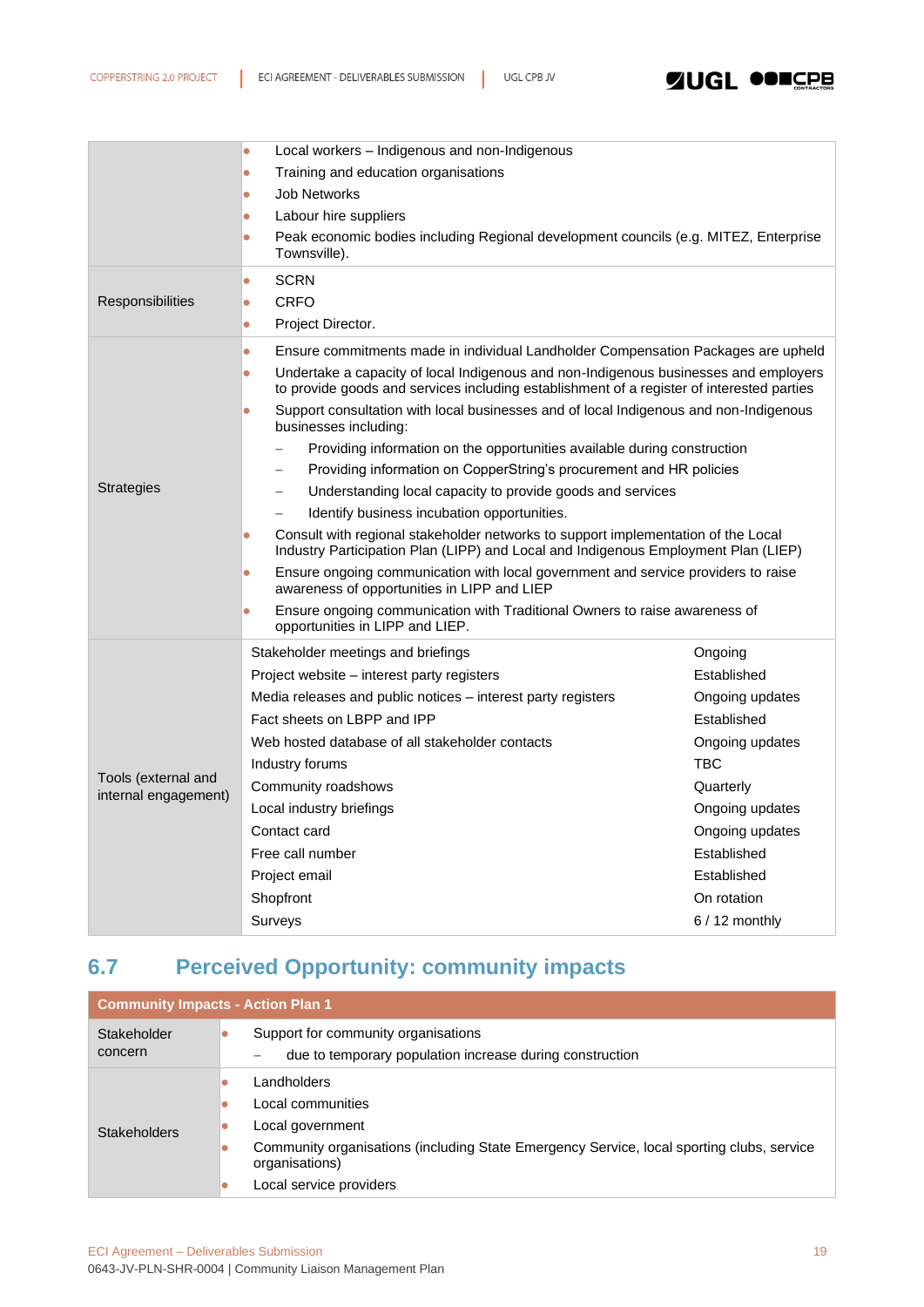|                                             | Local workers - Indigenous and non-Indigenous<br>$\bullet$<br>Training and education organisations<br>۸                                                                                        |                 |  |
|---------------------------------------------|------------------------------------------------------------------------------------------------------------------------------------------------------------------------------------------------|-----------------|--|
|                                             |                                                                                                                                                                                                |                 |  |
|                                             | <b>Job Networks</b><br>$\bullet$                                                                                                                                                               |                 |  |
|                                             | Labour hire suppliers<br>$\bullet$                                                                                                                                                             |                 |  |
|                                             | Peak economic bodies including Regional development councils (e.g. MITEZ, Enterprise<br>$\bullet$<br>Townsville).                                                                              |                 |  |
|                                             | <b>SCRN</b><br>$\bullet$                                                                                                                                                                       |                 |  |
| Responsibilities                            | CRFO<br>$\bullet$                                                                                                                                                                              |                 |  |
|                                             | Project Director.<br>$\bullet$                                                                                                                                                                 |                 |  |
|                                             | Ensure commitments made in individual Landholder Compensation Packages are upheld<br>$\bullet$                                                                                                 |                 |  |
|                                             | Undertake a capacity of local Indigenous and non-Indigenous businesses and employers<br>$\bullet$<br>to provide goods and services including establishment of a register of interested parties |                 |  |
|                                             | Support consultation with local businesses and of local Indigenous and non-Indigenous<br>$\bullet$<br>businesses including:                                                                    |                 |  |
|                                             | Providing information on the opportunities available during construction                                                                                                                       |                 |  |
|                                             | Providing information on CopperString's procurement and HR policies                                                                                                                            |                 |  |
| <b>Strategies</b>                           | Understanding local capacity to provide goods and services                                                                                                                                     |                 |  |
|                                             | Identify business incubation opportunities.                                                                                                                                                    |                 |  |
|                                             | Consult with regional stakeholder networks to support implementation of the Local<br>$\bullet$<br>Industry Participation Plan (LIPP) and Local and Indigenous Employment Plan (LIEP)           |                 |  |
|                                             | Ensure ongoing communication with local government and service providers to raise<br>awareness of opportunities in LIPP and LIEP                                                               |                 |  |
|                                             | Ensure ongoing communication with Traditional Owners to raise awareness of<br>opportunities in LIPP and LIEP.                                                                                  |                 |  |
|                                             | Stakeholder meetings and briefings                                                                                                                                                             | Ongoing         |  |
|                                             | Project website - interest party registers                                                                                                                                                     | Established     |  |
|                                             | Media releases and public notices - interest party registers                                                                                                                                   | Ongoing updates |  |
|                                             | Fact sheets on LBPP and IPP                                                                                                                                                                    | Established     |  |
|                                             | Web hosted database of all stakeholder contacts                                                                                                                                                | Ongoing updates |  |
|                                             | Industry forums                                                                                                                                                                                | <b>TBC</b>      |  |
| Tools (external and<br>internal engagement) | Community roadshows                                                                                                                                                                            | Quarterly       |  |
|                                             | Local industry briefings                                                                                                                                                                       | Ongoing updates |  |
|                                             | Contact card                                                                                                                                                                                   | Ongoing updates |  |
|                                             | Free call number                                                                                                                                                                               | Established     |  |
|                                             | Project email                                                                                                                                                                                  | Established     |  |
|                                             | Shopfront                                                                                                                                                                                      | On rotation     |  |
|                                             | Surveys                                                                                                                                                                                        | $6/12$ monthly  |  |

# <span id="page-18-0"></span>**6.7 Perceived Opportunity: community impacts**

| <b>Community Impacts - Action Plan 1</b> |                                                                                                                                                                                                                       |  |  |
|------------------------------------------|-----------------------------------------------------------------------------------------------------------------------------------------------------------------------------------------------------------------------|--|--|
| Stakeholder<br>concern                   | Support for community organisations<br>due to temporary population increase during construction                                                                                                                       |  |  |
| <b>Stakeholders</b>                      | Landholders<br>0<br>Local communities<br>Local government<br>Community organisations (including State Emergency Service, local sporting clubs, service<br>0<br>organisations)<br>Local service providers<br>$\bullet$ |  |  |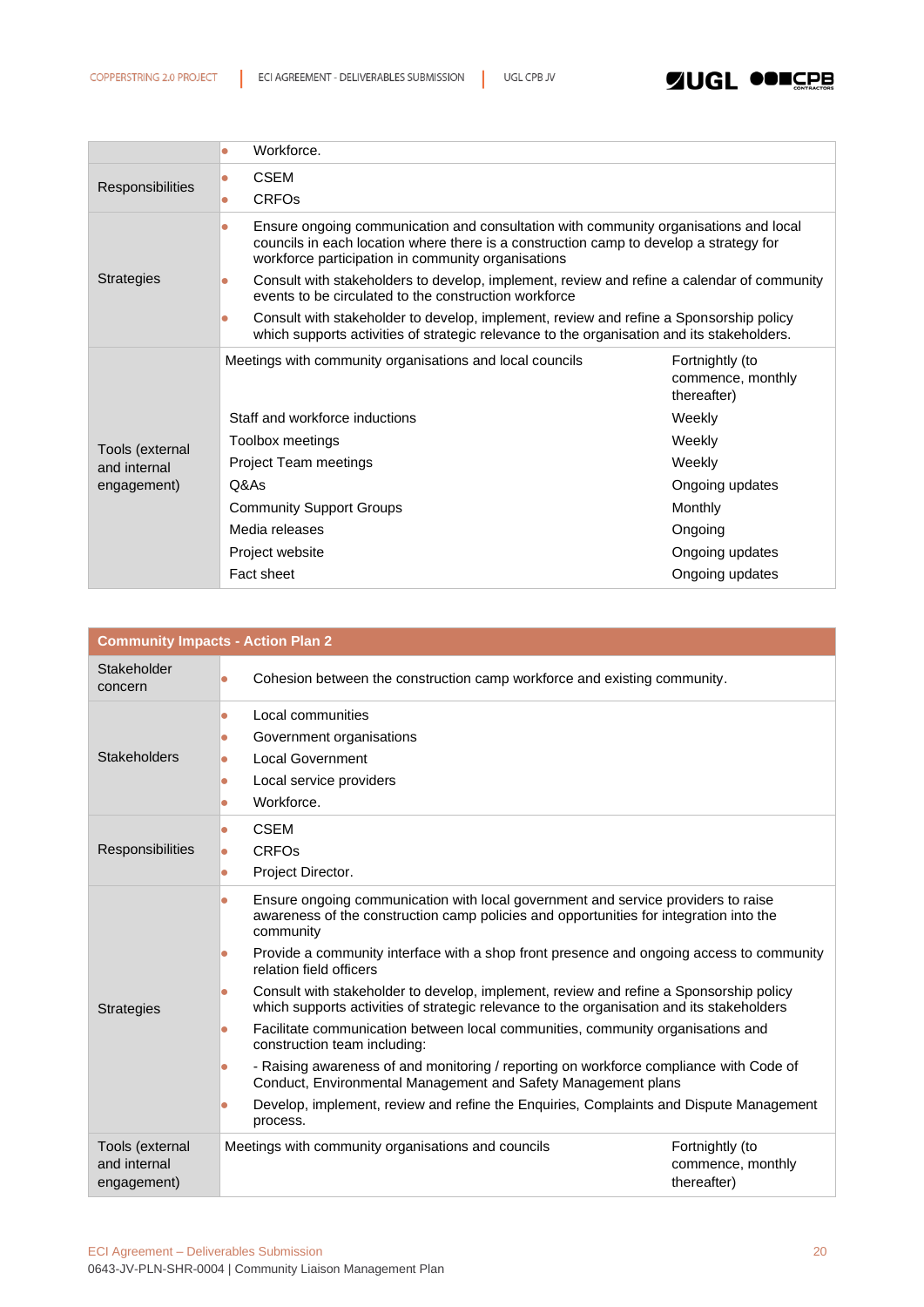

|                         | Workforce.                                                                                                                                                                                                                                        |                                                     |  |
|-------------------------|---------------------------------------------------------------------------------------------------------------------------------------------------------------------------------------------------------------------------------------------------|-----------------------------------------------------|--|
| <b>Responsibilities</b> | <b>CSEM</b><br>$\bullet$                                                                                                                                                                                                                          |                                                     |  |
|                         | <b>CRFO<sub>s</sub></b><br>$\bullet$                                                                                                                                                                                                              |                                                     |  |
|                         | Ensure ongoing communication and consultation with community organisations and local<br>$\bullet$<br>councils in each location where there is a construction camp to develop a strategy for<br>workforce participation in community organisations |                                                     |  |
| <b>Strategies</b>       | Consult with stakeholders to develop, implement, review and refine a calendar of community<br>$\bullet$<br>events to be circulated to the construction workforce                                                                                  |                                                     |  |
|                         | Consult with stakeholder to develop, implement, review and refine a Sponsorship policy<br>$\bullet$<br>which supports activities of strategic relevance to the organisation and its stakeholders.                                                 |                                                     |  |
|                         | Meetings with community organisations and local councils                                                                                                                                                                                          | Fortnightly (to<br>commence, monthly<br>thereafter) |  |
|                         | Staff and workforce inductions                                                                                                                                                                                                                    | Weekly                                              |  |
| Tools (external         | Toolbox meetings                                                                                                                                                                                                                                  | Weekly                                              |  |
| and internal            | <b>Project Team meetings</b>                                                                                                                                                                                                                      | Weekly                                              |  |
| engagement)             | Q&As                                                                                                                                                                                                                                              | Ongoing updates                                     |  |
|                         | <b>Community Support Groups</b>                                                                                                                                                                                                                   | Monthly                                             |  |
|                         | Media releases                                                                                                                                                                                                                                    | Ongoing                                             |  |
|                         | Project website                                                                                                                                                                                                                                   | Ongoing updates                                     |  |
|                         | Fact sheet                                                                                                                                                                                                                                        | Ongoing updates                                     |  |

| <b>Community Impacts - Action Plan 2</b>       |                                                                                                                                                                                                                                                                                                                           |                                                     |  |
|------------------------------------------------|---------------------------------------------------------------------------------------------------------------------------------------------------------------------------------------------------------------------------------------------------------------------------------------------------------------------------|-----------------------------------------------------|--|
| Stakeholder<br>concern                         | Cohesion between the construction camp workforce and existing community.                                                                                                                                                                                                                                                  |                                                     |  |
| <b>Stakeholders</b>                            | Local communities<br>Government organisations<br>0<br><b>Local Government</b><br>Local service providers<br>Ō<br>Workforce.                                                                                                                                                                                               |                                                     |  |
| Responsibilities                               | <b>CSEM</b><br>۸<br>CRFOS<br>Project Director.<br>۸                                                                                                                                                                                                                                                                       |                                                     |  |
| <b>Strategies</b>                              | Ensure ongoing communication with local government and service providers to raise<br>۰<br>awareness of the construction camp policies and opportunities for integration into the<br>community<br>Provide a community interface with a shop front presence and ongoing access to community<br>0<br>relation field officers |                                                     |  |
|                                                | Consult with stakeholder to develop, implement, review and refine a Sponsorship policy<br>0<br>which supports activities of strategic relevance to the organisation and its stakeholders<br>Facilitate communication between local communities, community organisations and<br>$\bullet$<br>construction team including:  |                                                     |  |
|                                                | - Raising awareness of and monitoring / reporting on workforce compliance with Code of<br>Conduct, Environmental Management and Safety Management plans<br>Develop, implement, review and refine the Enquiries, Complaints and Dispute Management<br>process.                                                             |                                                     |  |
| Tools (external<br>and internal<br>engagement) | Meetings with community organisations and councils                                                                                                                                                                                                                                                                        | Fortnightly (to<br>commence, monthly<br>thereafter) |  |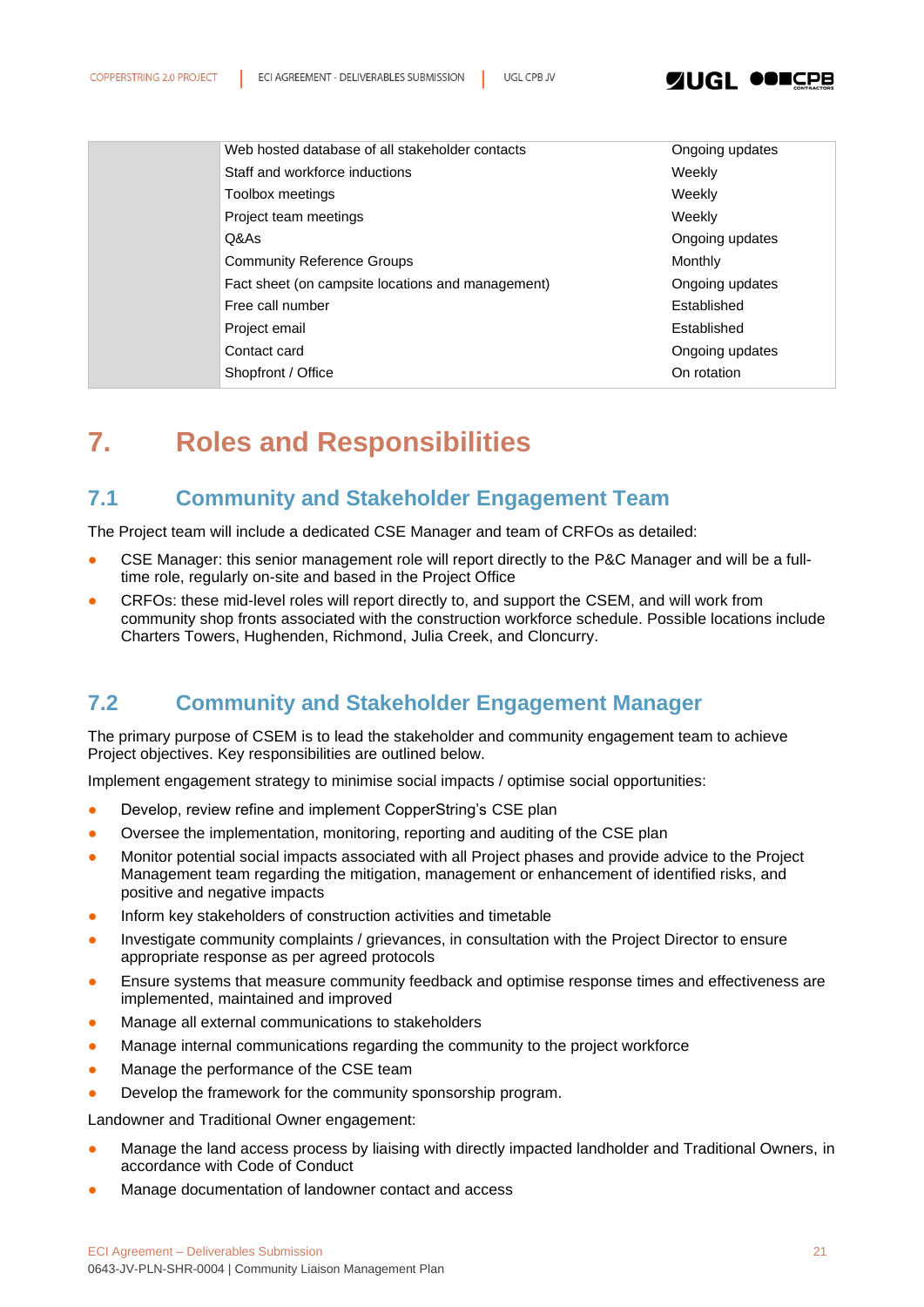

| Web hosted database of all stakeholder contacts   | Ongoing updates |
|---------------------------------------------------|-----------------|
| Staff and workforce inductions                    | Weekly          |
| Toolbox meetings                                  | Weekly          |
| Project team meetings                             | Weekly          |
| Q&As                                              | Ongoing updates |
| <b>Community Reference Groups</b>                 | Monthly         |
| Fact sheet (on campsite locations and management) | Ongoing updates |
| Free call number                                  | Established     |
| Project email                                     | Established     |
| Contact card                                      | Ongoing updates |
| Shopfront / Office                                | On rotation     |
|                                                   |                 |

# <span id="page-20-0"></span>**7. Roles and Responsibilities**

### <span id="page-20-1"></span>**7.1 Community and Stakeholder Engagement Team**

The Project team will include a dedicated CSE Manager and team of CRFOs as detailed:

- CSE Manager: this senior management role will report directly to the P&C Manager and will be a fulltime role, regularly on-site and based in the Project Office
- CRFOs: these mid-level roles will report directly to, and support the CSEM, and will work from community shop fronts associated with the construction workforce schedule. Possible locations include Charters Towers, Hughenden, Richmond, Julia Creek, and Cloncurry.

### <span id="page-20-2"></span>**7.2 Community and Stakeholder Engagement Manager**

The primary purpose of CSEM is to lead the stakeholder and community engagement team to achieve Project objectives. Key responsibilities are outlined below.

Implement engagement strategy to minimise social impacts / optimise social opportunities:

- Develop, review refine and implement CopperString's CSE plan
- Oversee the implementation, monitoring, reporting and auditing of the CSE plan
- Monitor potential social impacts associated with all Project phases and provide advice to the Project Management team regarding the mitigation, management or enhancement of identified risks, and positive and negative impacts
- Inform key stakeholders of construction activities and timetable
- Investigate community complaints / grievances, in consultation with the Project Director to ensure appropriate response as per agreed protocols
- Ensure systems that measure community feedback and optimise response times and effectiveness are implemented, maintained and improved
- Manage all external communications to stakeholders
- Manage internal communications regarding the community to the project workforce
- Manage the performance of the CSE team
- Develop the framework for the community sponsorship program.

Landowner and Traditional Owner engagement:

- Manage the land access process by liaising with directly impacted landholder and Traditional Owners, in accordance with Code of Conduct
- Manage documentation of landowner contact and access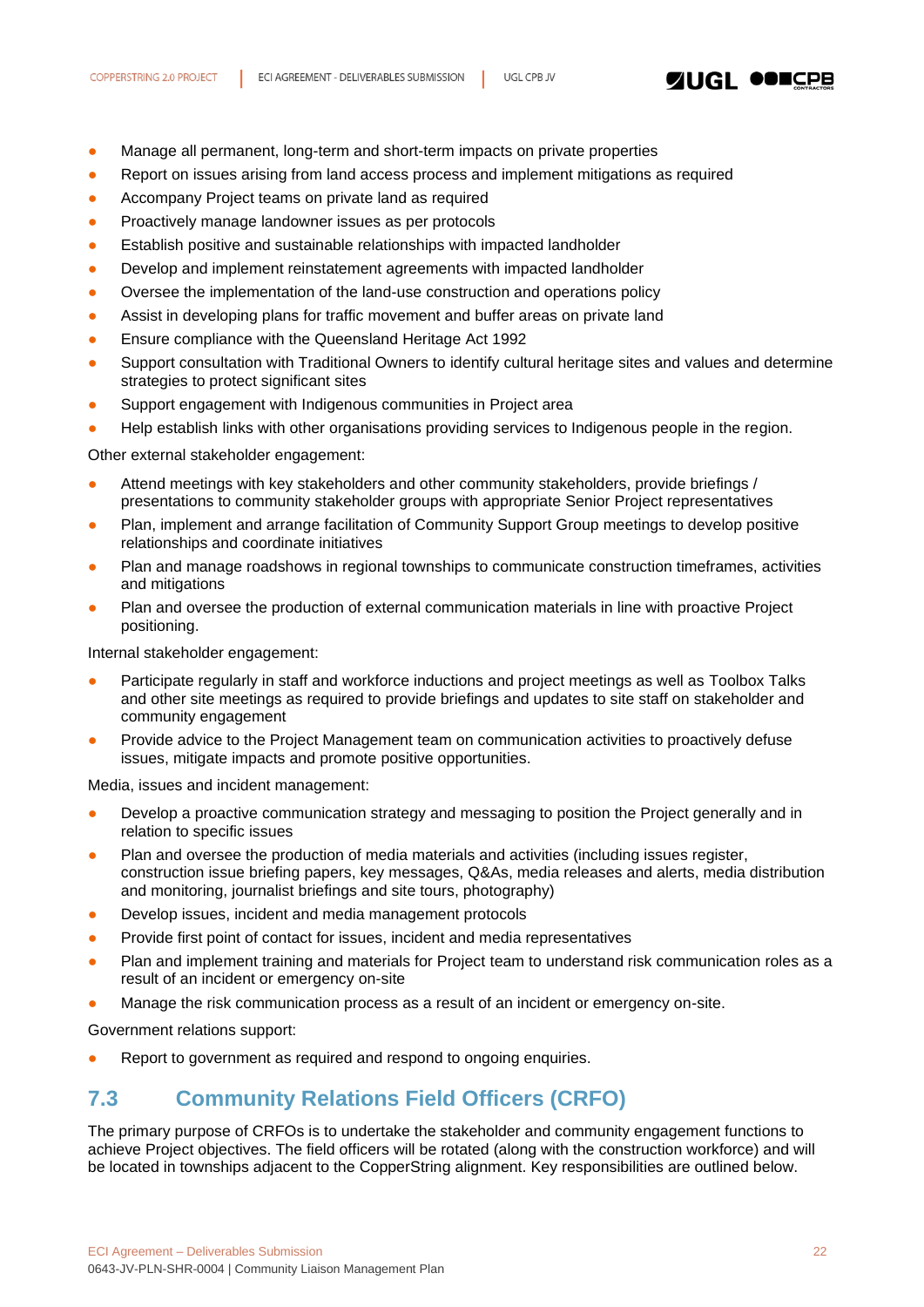

- Manage all permanent, long-term and short-term impacts on private properties
- Report on issues arising from land access process and implement mitigations as required
- Accompany Project teams on private land as required
- Proactively manage landowner issues as per protocols
- Establish positive and sustainable relationships with impacted landholder
- Develop and implement reinstatement agreements with impacted landholder
- Oversee the implementation of the land-use construction and operations policy
- Assist in developing plans for traffic movement and buffer areas on private land
- Ensure compliance with the Queensland Heritage Act 1992
- Support consultation with Traditional Owners to identify cultural heritage sites and values and determine strategies to protect significant sites
- Support engagement with Indigenous communities in Project area
- Help establish links with other organisations providing services to Indigenous people in the region.

Other external stakeholder engagement:

- Attend meetings with key stakeholders and other community stakeholders, provide briefings / presentations to community stakeholder groups with appropriate Senior Project representatives
- Plan, implement and arrange facilitation of Community Support Group meetings to develop positive relationships and coordinate initiatives
- Plan and manage roadshows in regional townships to communicate construction timeframes, activities and mitigations
- Plan and oversee the production of external communication materials in line with proactive Project positioning.

Internal stakeholder engagement:

- Participate regularly in staff and workforce inductions and project meetings as well as Toolbox Talks and other site meetings as required to provide briefings and updates to site staff on stakeholder and community engagement
- Provide advice to the Project Management team on communication activities to proactively defuse issues, mitigate impacts and promote positive opportunities.

Media, issues and incident management:

- Develop a proactive communication strategy and messaging to position the Project generally and in relation to specific issues
- Plan and oversee the production of media materials and activities (including issues register, construction issue briefing papers, key messages, Q&As, media releases and alerts, media distribution and monitoring, journalist briefings and site tours, photography)
- Develop issues, incident and media management protocols
- Provide first point of contact for issues, incident and media representatives
- Plan and implement training and materials for Project team to understand risk communication roles as a result of an incident or emergency on-site
- Manage the risk communication process as a result of an incident or emergency on-site.

Government relations support:

Report to government as required and respond to ongoing enquiries.

### <span id="page-21-0"></span>**7.3 Community Relations Field Officers (CRFO)**

The primary purpose of CRFOs is to undertake the stakeholder and community engagement functions to achieve Project objectives. The field officers will be rotated (along with the construction workforce) and will be located in townships adjacent to the CopperString alignment. Key responsibilities are outlined below.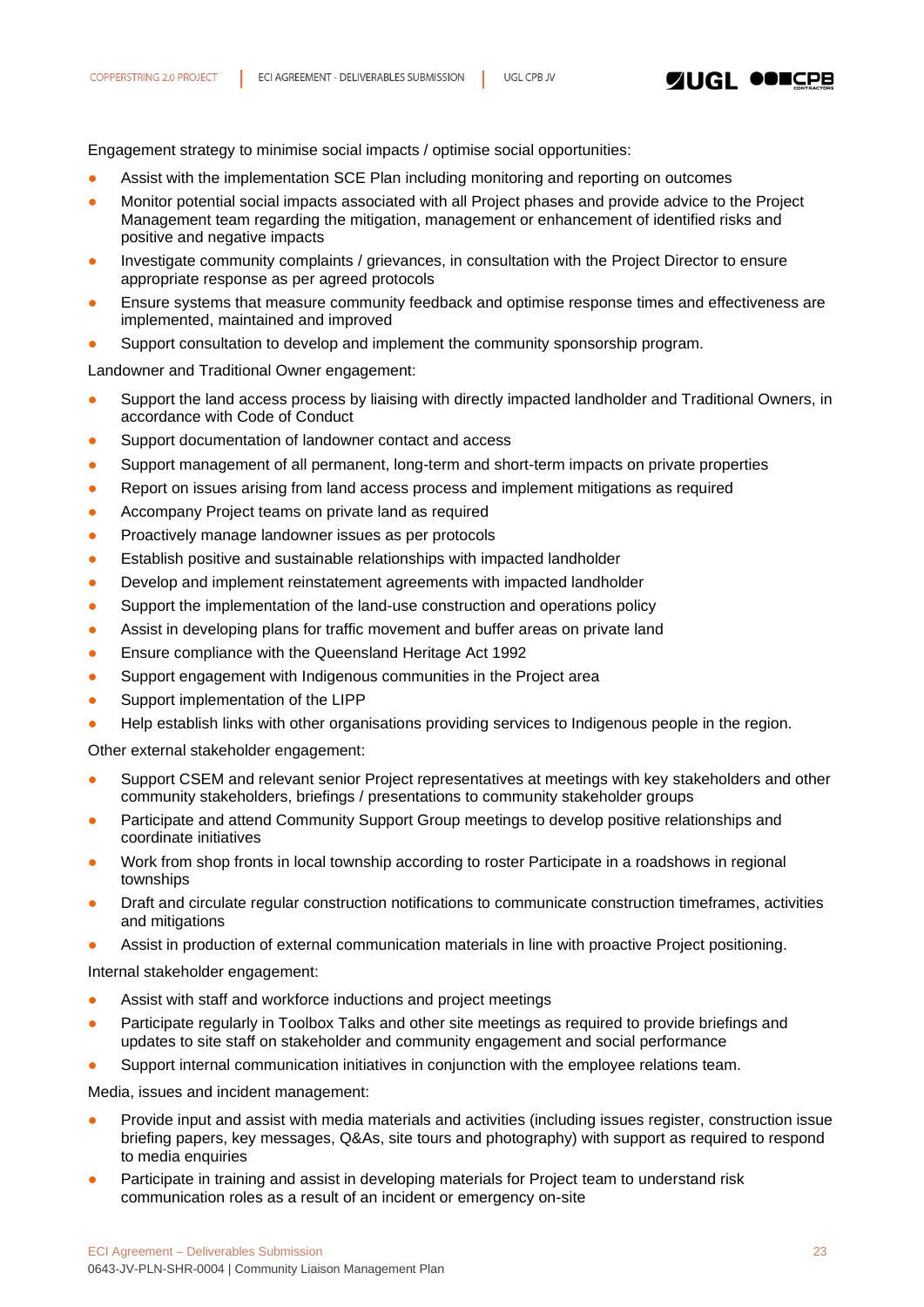**ZUGL OOILER** 

Engagement strategy to minimise social impacts / optimise social opportunities:

- Assist with the implementation SCE Plan including monitoring and reporting on outcomes
- Monitor potential social impacts associated with all Project phases and provide advice to the Project Management team regarding the mitigation, management or enhancement of identified risks and positive and negative impacts
- Investigate community complaints / grievances, in consultation with the Project Director to ensure appropriate response as per agreed protocols
- Ensure systems that measure community feedback and optimise response times and effectiveness are implemented, maintained and improved
- Support consultation to develop and implement the community sponsorship program.

Landowner and Traditional Owner engagement:

- Support the land access process by liaising with directly impacted landholder and Traditional Owners, in accordance with Code of Conduct
- Support documentation of landowner contact and access
- Support management of all permanent, long-term and short-term impacts on private properties
- Report on issues arising from land access process and implement mitigations as required
- Accompany Project teams on private land as required
- Proactively manage landowner issues as per protocols
- **•** Establish positive and sustainable relationships with impacted landholder
- Develop and implement reinstatement agreements with impacted landholder
- Support the implementation of the land-use construction and operations policy
- Assist in developing plans for traffic movement and buffer areas on private land
- Ensure compliance with the Queensland Heritage Act 1992
- Support engagement with Indigenous communities in the Project area
- Support implementation of the LIPP
- Help establish links with other organisations providing services to Indigenous people in the region.

Other external stakeholder engagement:

- Support CSEM and relevant senior Project representatives at meetings with key stakeholders and other community stakeholders, briefings / presentations to community stakeholder groups
- Participate and attend Community Support Group meetings to develop positive relationships and coordinate initiatives
- Work from shop fronts in local township according to roster Participate in a roadshows in regional townships
- Draft and circulate regular construction notifications to communicate construction timeframes, activities and mitigations
- Assist in production of external communication materials in line with proactive Project positioning.

Internal stakeholder engagement:

- Assist with staff and workforce inductions and project meetings
- Participate regularly in Toolbox Talks and other site meetings as required to provide briefings and updates to site staff on stakeholder and community engagement and social performance
- Support internal communication initiatives in conjunction with the employee relations team.

Media, issues and incident management:

- Provide input and assist with media materials and activities (including issues register, construction issue briefing papers, key messages, Q&As, site tours and photography) with support as required to respond to media enquiries
- Participate in training and assist in developing materials for Project team to understand risk communication roles as a result of an incident or emergency on-site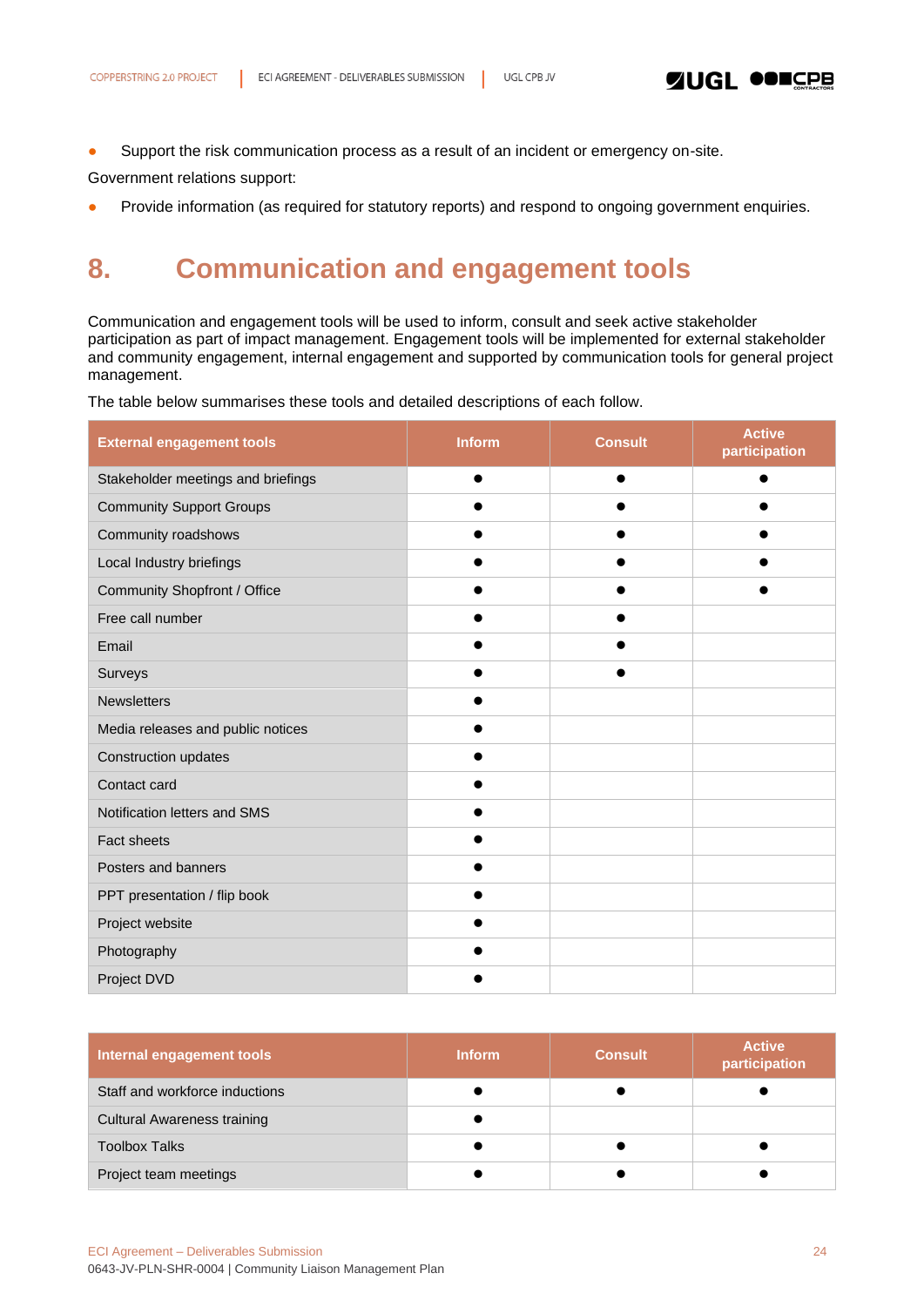• Support the risk communication process as a result of an incident or emergency on-site.

Government relations support:

<span id="page-23-0"></span>• Provide information (as required for statutory reports) and respond to ongoing government enquiries.

# **8. Communication and engagement tools**

Communication and engagement tools will be used to inform, consult and seek active stakeholder participation as part of impact management. Engagement tools will be implemented for external stakeholder and community engagement, internal engagement and supported by communication tools for general project management.

The table below summarises these tools and detailed descriptions of each follow.

| <b>External engagement tools</b>   | <b>Inform</b> | <b>Consult</b> | <b>Active</b><br>participation |
|------------------------------------|---------------|----------------|--------------------------------|
| Stakeholder meetings and briefings |               | ●              | $\bullet$                      |
| <b>Community Support Groups</b>    |               |                |                                |
| Community roadshows                |               |                |                                |
| Local Industry briefings           |               |                |                                |
| Community Shopfront / Office       |               |                |                                |
| Free call number                   |               |                |                                |
| Email                              |               |                |                                |
| Surveys                            |               |                |                                |
| <b>Newsletters</b>                 |               |                |                                |
| Media releases and public notices  |               |                |                                |
| Construction updates               |               |                |                                |
| Contact card                       |               |                |                                |
| Notification letters and SMS       |               |                |                                |
| Fact sheets                        |               |                |                                |
| Posters and banners                |               |                |                                |
| PPT presentation / flip book       |               |                |                                |
| Project website                    |               |                |                                |
| Photography                        |               |                |                                |
| Project DVD                        |               |                |                                |

| Internal engagement tools          | <b>Inform</b> | Consult | <b>Active</b><br>participation |
|------------------------------------|---------------|---------|--------------------------------|
| Staff and workforce inductions     |               |         |                                |
| <b>Cultural Awareness training</b> |               |         |                                |
| <b>Toolbox Talks</b>               |               |         |                                |
| Project team meetings              |               |         |                                |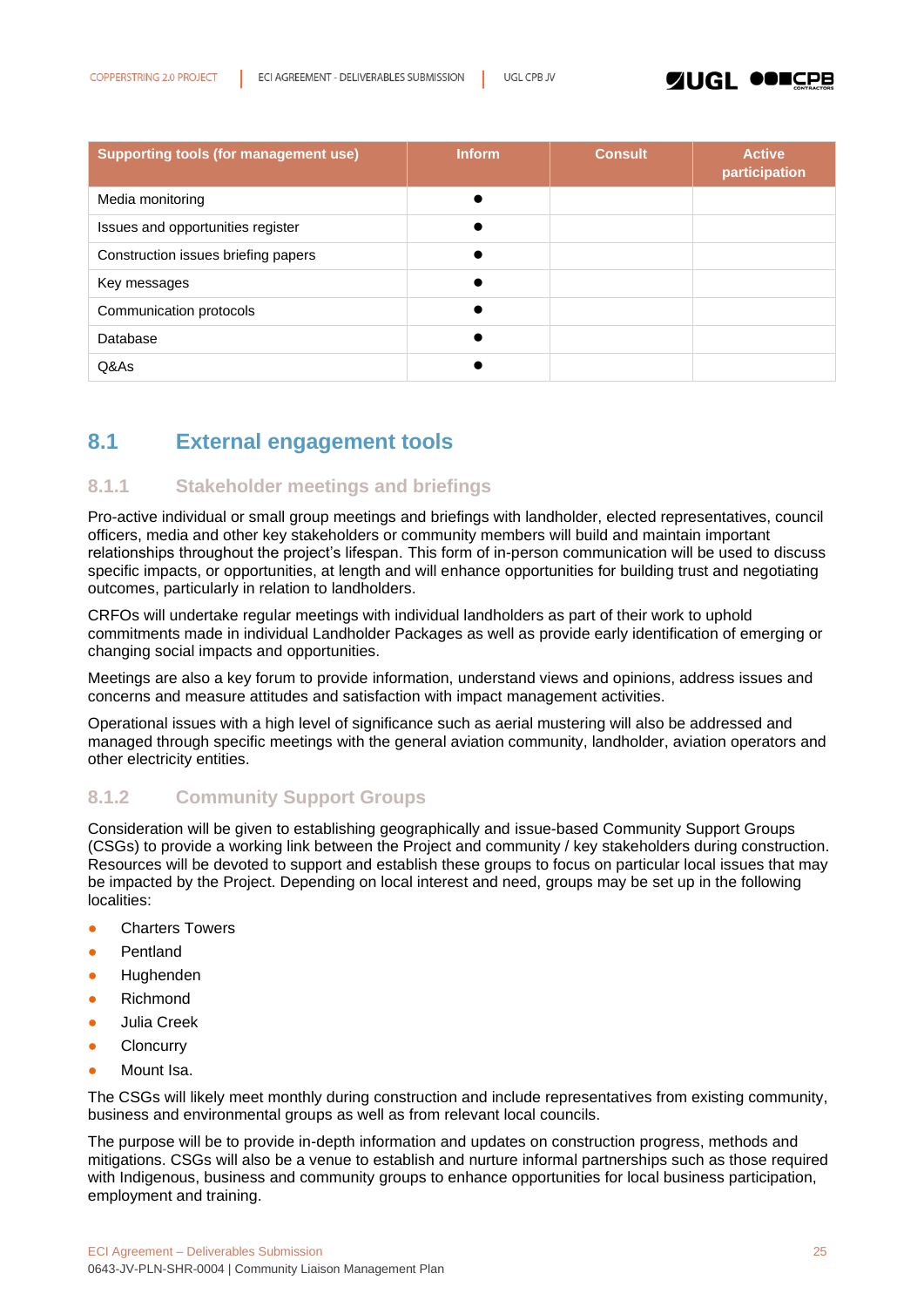### **ZUGL OOICPB**

| <b>Supporting tools (for management use)</b> | Inform | <b>Consult</b> | <b>Active</b><br>participation |
|----------------------------------------------|--------|----------------|--------------------------------|
| Media monitoring                             |        |                |                                |
| Issues and opportunities register            |        |                |                                |
| Construction issues briefing papers          |        |                |                                |
| Key messages                                 |        |                |                                |
| Communication protocols                      |        |                |                                |
| Database                                     |        |                |                                |
| Q&As                                         |        |                |                                |

## <span id="page-24-0"></span>**8.1 External engagement tools**

### <span id="page-24-1"></span>**8.1.1 Stakeholder meetings and briefings**

Pro-active individual or small group meetings and briefings with landholder, elected representatives, council officers, media and other key stakeholders or community members will build and maintain important relationships throughout the project's lifespan. This form of in-person communication will be used to discuss specific impacts, or opportunities, at length and will enhance opportunities for building trust and negotiating outcomes, particularly in relation to landholders.

CRFOs will undertake regular meetings with individual landholders as part of their work to uphold commitments made in individual Landholder Packages as well as provide early identification of emerging or changing social impacts and opportunities.

Meetings are also a key forum to provide information, understand views and opinions, address issues and concerns and measure attitudes and satisfaction with impact management activities.

Operational issues with a high level of significance such as aerial mustering will also be addressed and managed through specific meetings with the general aviation community, landholder, aviation operators and other electricity entities.

### <span id="page-24-2"></span>**8.1.2 Community Support Groups**

Consideration will be given to establishing geographically and issue-based Community Support Groups (CSGs) to provide a working link between the Project and community / key stakeholders during construction. Resources will be devoted to support and establish these groups to focus on particular local issues that may be impacted by the Project. Depending on local interest and need, groups may be set up in the following localities:

- **Charters Towers**
- Pentland
- **Hughenden**
- **Richmond**
- Julia Creek
- **Cloncurry**
- Mount Isa.

The CSGs will likely meet monthly during construction and include representatives from existing community, business and environmental groups as well as from relevant local councils.

The purpose will be to provide in-depth information and updates on construction progress, methods and mitigations. CSGs will also be a venue to establish and nurture informal partnerships such as those required with Indigenous, business and community groups to enhance opportunities for local business participation, employment and training.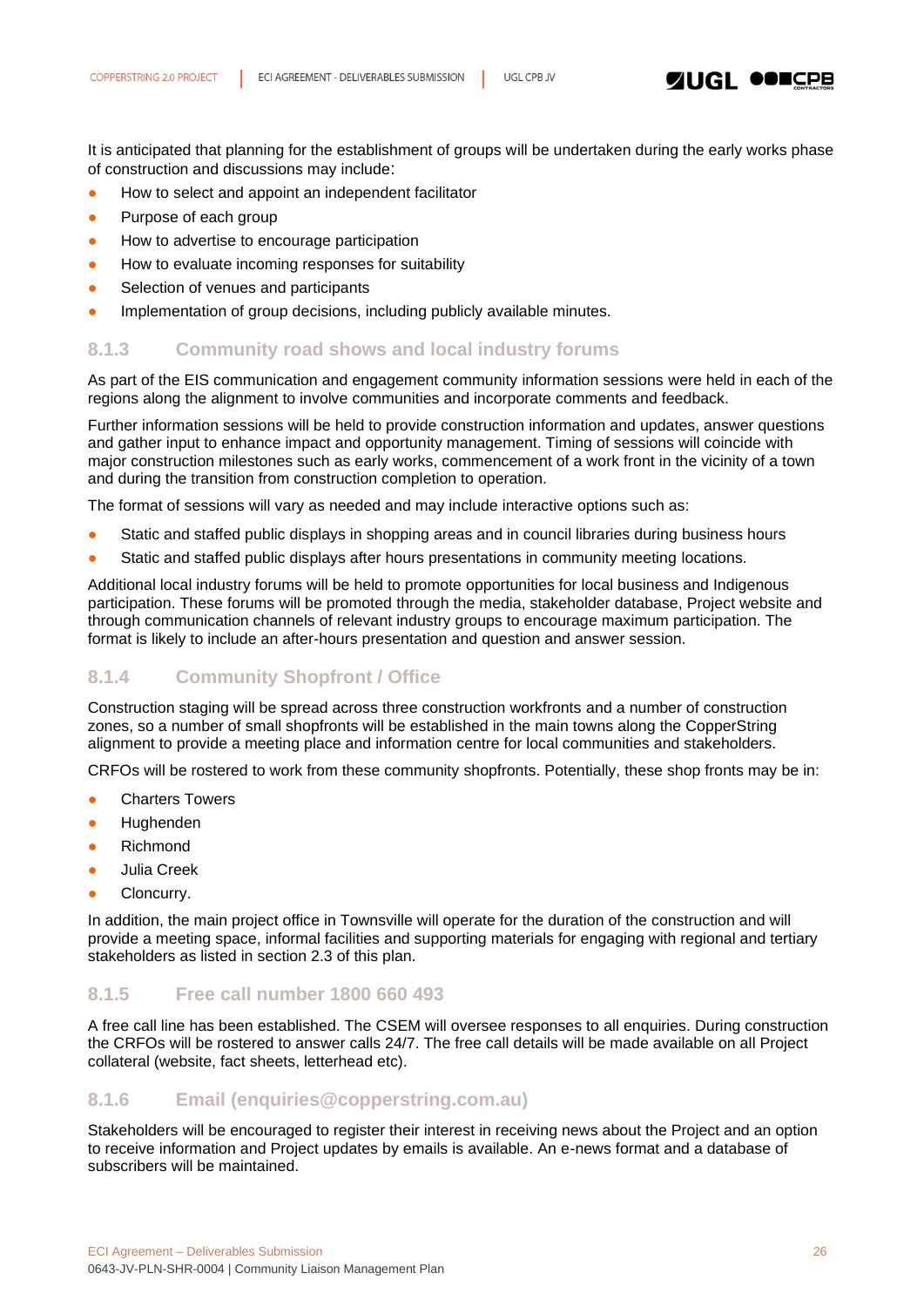**ZUGL OOICPB** 

It is anticipated that planning for the establishment of groups will be undertaken during the early works phase of construction and discussions may include:

- How to select and appoint an independent facilitator
- Purpose of each group
- How to advertise to encourage participation
- How to evaluate incoming responses for suitability
- Selection of venues and participants
- **Implementation of group decisions, including publicly available minutes.**

### <span id="page-25-0"></span>**8.1.3 Community road shows and local industry forums**

As part of the EIS communication and engagement community information sessions were held in each of the regions along the alignment to involve communities and incorporate comments and feedback.

Further information sessions will be held to provide construction information and updates, answer questions and gather input to enhance impact and opportunity management. Timing of sessions will coincide with major construction milestones such as early works, commencement of a work front in the vicinity of a town and during the transition from construction completion to operation.

The format of sessions will vary as needed and may include interactive options such as:

- Static and staffed public displays in shopping areas and in council libraries during business hours
- Static and staffed public displays after hours presentations in community meeting locations.

Additional local industry forums will be held to promote opportunities for local business and Indigenous participation. These forums will be promoted through the media, stakeholder database, Project website and through communication channels of relevant industry groups to encourage maximum participation. The format is likely to include an after-hours presentation and question and answer session.

### <span id="page-25-1"></span>**8.1.4 Community Shopfront / Office**

Construction staging will be spread across three construction workfronts and a number of construction zones, so a number of small shopfronts will be established in the main towns along the CopperString alignment to provide a meeting place and information centre for local communities and stakeholders.

CRFOs will be rostered to work from these community shopfronts. Potentially, these shop fronts may be in:

- Charters Towers
- **Hughenden**
- **Richmond**
- Julia Creek
- Cloncurry.

In addition, the main project office in Townsville will operate for the duration of the construction and will provide a meeting space, informal facilities and supporting materials for engaging with regional and tertiary stakeholders as listed in section 2.3 of this plan.

### <span id="page-25-2"></span>**8.1.5 Free call number 1800 660 493**

A free call line has been established. The CSEM will oversee responses to all enquiries. During construction the CRFOs will be rostered to answer calls 24/7. The free call details will be made available on all Project collateral (website, fact sheets, letterhead etc).

### <span id="page-25-3"></span>**8.1.6 Email (enquiries@copperstring.com.au)**

Stakeholders will be encouraged to register their interest in receiving news about the Project and an option to receive information and Project updates by emails is available. An e-news format and a database of subscribers will be maintained.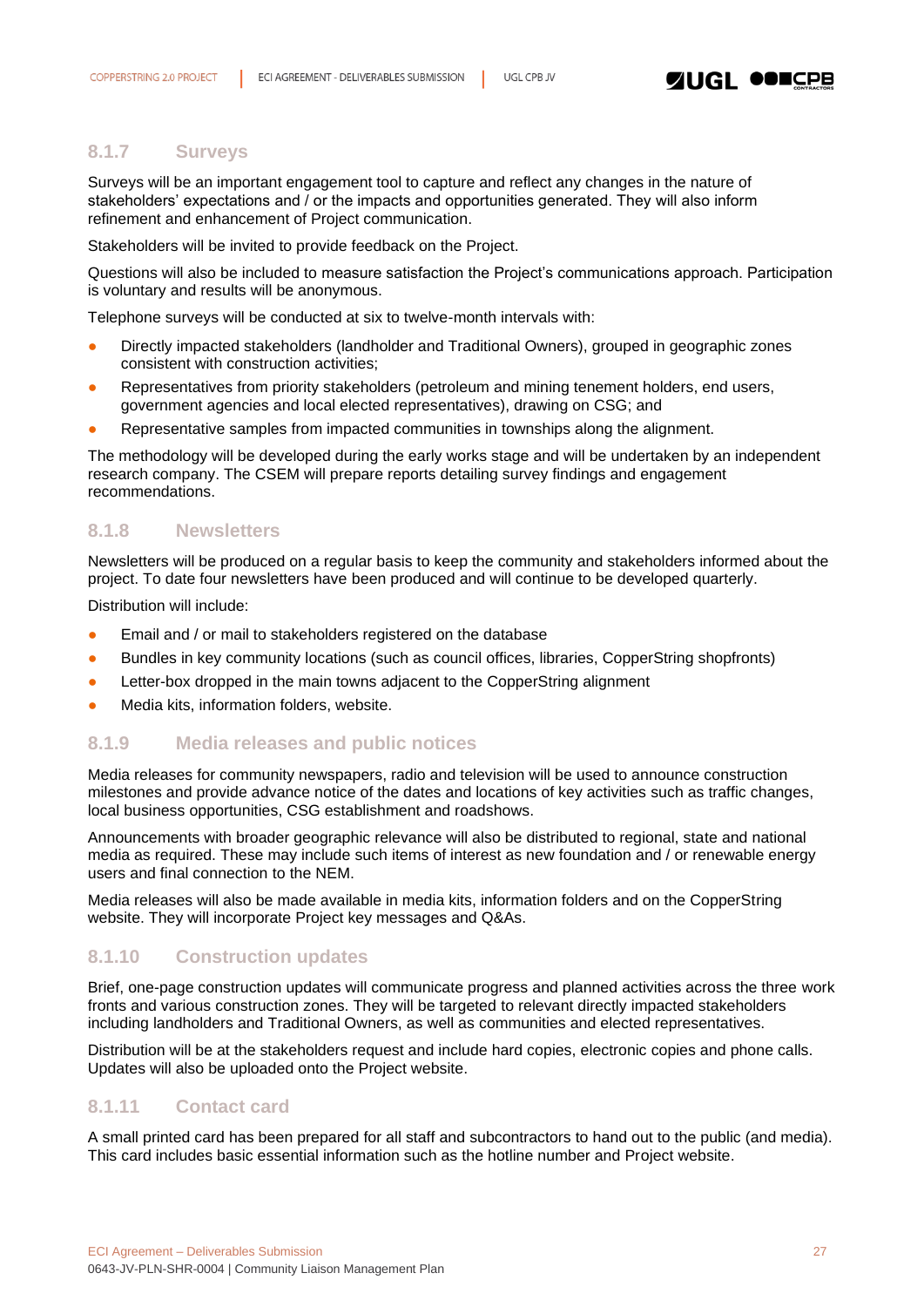### <span id="page-26-0"></span>**8.1.7 Surveys**

Surveys will be an important engagement tool to capture and reflect any changes in the nature of stakeholders' expectations and / or the impacts and opportunities generated. They will also inform refinement and enhancement of Project communication.

Stakeholders will be invited to provide feedback on the Project.

Questions will also be included to measure satisfaction the Project's communications approach. Participation is voluntary and results will be anonymous.

Telephone surveys will be conducted at six to twelve-month intervals with:

- Directly impacted stakeholders (landholder and Traditional Owners), grouped in geographic zones consistent with construction activities;
- Representatives from priority stakeholders (petroleum and mining tenement holders, end users, government agencies and local elected representatives), drawing on CSG; and
- Representative samples from impacted communities in townships along the alignment.

The methodology will be developed during the early works stage and will be undertaken by an independent research company. The CSEM will prepare reports detailing survey findings and engagement recommendations.

### <span id="page-26-1"></span>**8.1.8 Newsletters**

Newsletters will be produced on a regular basis to keep the community and stakeholders informed about the project. To date four newsletters have been produced and will continue to be developed quarterly.

Distribution will include:

- Email and / or mail to stakeholders registered on the database
- Bundles in key community locations (such as council offices, libraries, CopperString shopfronts)
- Letter-box dropped in the main towns adjacent to the CopperString alignment
- Media kits, information folders, website.

### <span id="page-26-2"></span>**8.1.9 Media releases and public notices**

Media releases for community newspapers, radio and television will be used to announce construction milestones and provide advance notice of the dates and locations of key activities such as traffic changes, local business opportunities, CSG establishment and roadshows.

Announcements with broader geographic relevance will also be distributed to regional, state and national media as required. These may include such items of interest as new foundation and / or renewable energy users and final connection to the NEM.

Media releases will also be made available in media kits, information folders and on the CopperString website. They will incorporate Project key messages and Q&As.

### <span id="page-26-3"></span>**8.1.10 Construction updates**

Brief, one-page construction updates will communicate progress and planned activities across the three work fronts and various construction zones. They will be targeted to relevant directly impacted stakeholders including landholders and Traditional Owners, as well as communities and elected representatives.

Distribution will be at the stakeholders request and include hard copies, electronic copies and phone calls. Updates will also be uploaded onto the Project website.

### <span id="page-26-4"></span>**8.1.11 Contact card**

A small printed card has been prepared for all staff and subcontractors to hand out to the public (and media). This card includes basic essential information such as the hotline number and Project website.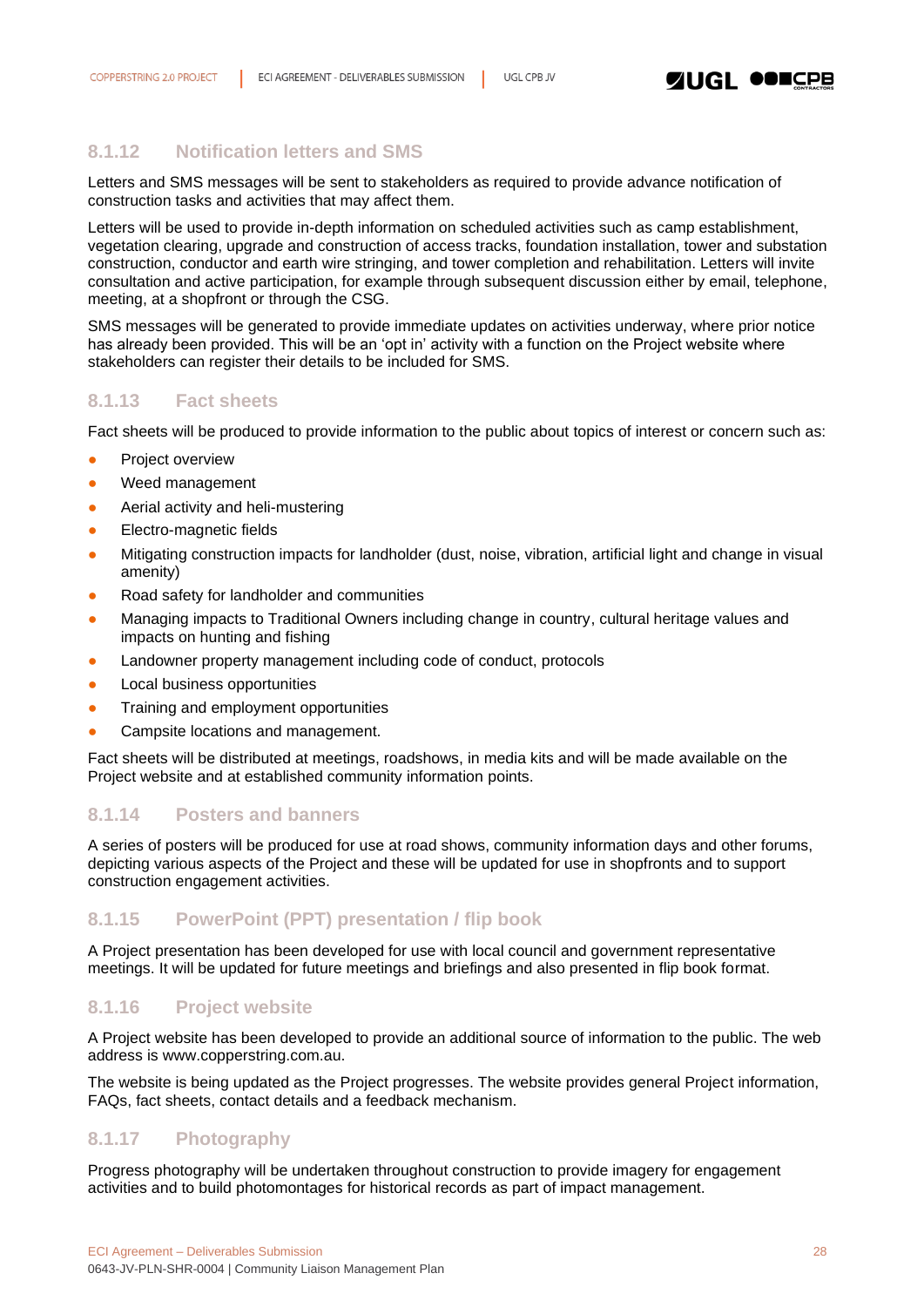

### <span id="page-27-0"></span>**8.1.12 Notification letters and SMS**

Letters and SMS messages will be sent to stakeholders as required to provide advance notification of construction tasks and activities that may affect them.

Letters will be used to provide in-depth information on scheduled activities such as camp establishment, vegetation clearing, upgrade and construction of access tracks, foundation installation, tower and substation construction, conductor and earth wire stringing, and tower completion and rehabilitation. Letters will invite consultation and active participation, for example through subsequent discussion either by email, telephone, meeting, at a shopfront or through the CSG.

SMS messages will be generated to provide immediate updates on activities underway, where prior notice has already been provided. This will be an 'opt in' activity with a function on the Project website where stakeholders can register their details to be included for SMS.

### <span id="page-27-1"></span>**8.1.13 Fact sheets**

Fact sheets will be produced to provide information to the public about topics of interest or concern such as:

- **•** Project overview
- Weed management
- Aerial activity and heli-mustering
- **Electro-magnetic fields**
- Mitigating construction impacts for landholder (dust, noise, vibration, artificial light and change in visual amenity)
- Road safety for landholder and communities
- Managing impacts to Traditional Owners including change in country, cultural heritage values and impacts on hunting and fishing
- Landowner property management including code of conduct, protocols
- Local business opportunities
- **•** Training and employment opportunities
- Campsite locations and management.

Fact sheets will be distributed at meetings, roadshows, in media kits and will be made available on the Project website and at established community information points.

### <span id="page-27-2"></span>**8.1.14 Posters and banners**

A series of posters will be produced for use at road shows, community information days and other forums, depicting various aspects of the Project and these will be updated for use in shopfronts and to support construction engagement activities.

### <span id="page-27-3"></span>**8.1.15 PowerPoint (PPT) presentation / flip book**

A Project presentation has been developed for use with local council and government representative meetings. It will be updated for future meetings and briefings and also presented in flip book format.

### <span id="page-27-4"></span>**8.1.16 Project website**

A Project website has been developed to provide an additional source of information to the public. The web address is www.copperstring.com.au.

The website is being updated as the Project progresses. The website provides general Project information, FAQs, fact sheets, contact details and a feedback mechanism.

### <span id="page-27-5"></span>**8.1.17 Photography**

Progress photography will be undertaken throughout construction to provide imagery for engagement activities and to build photomontages for historical records as part of impact management.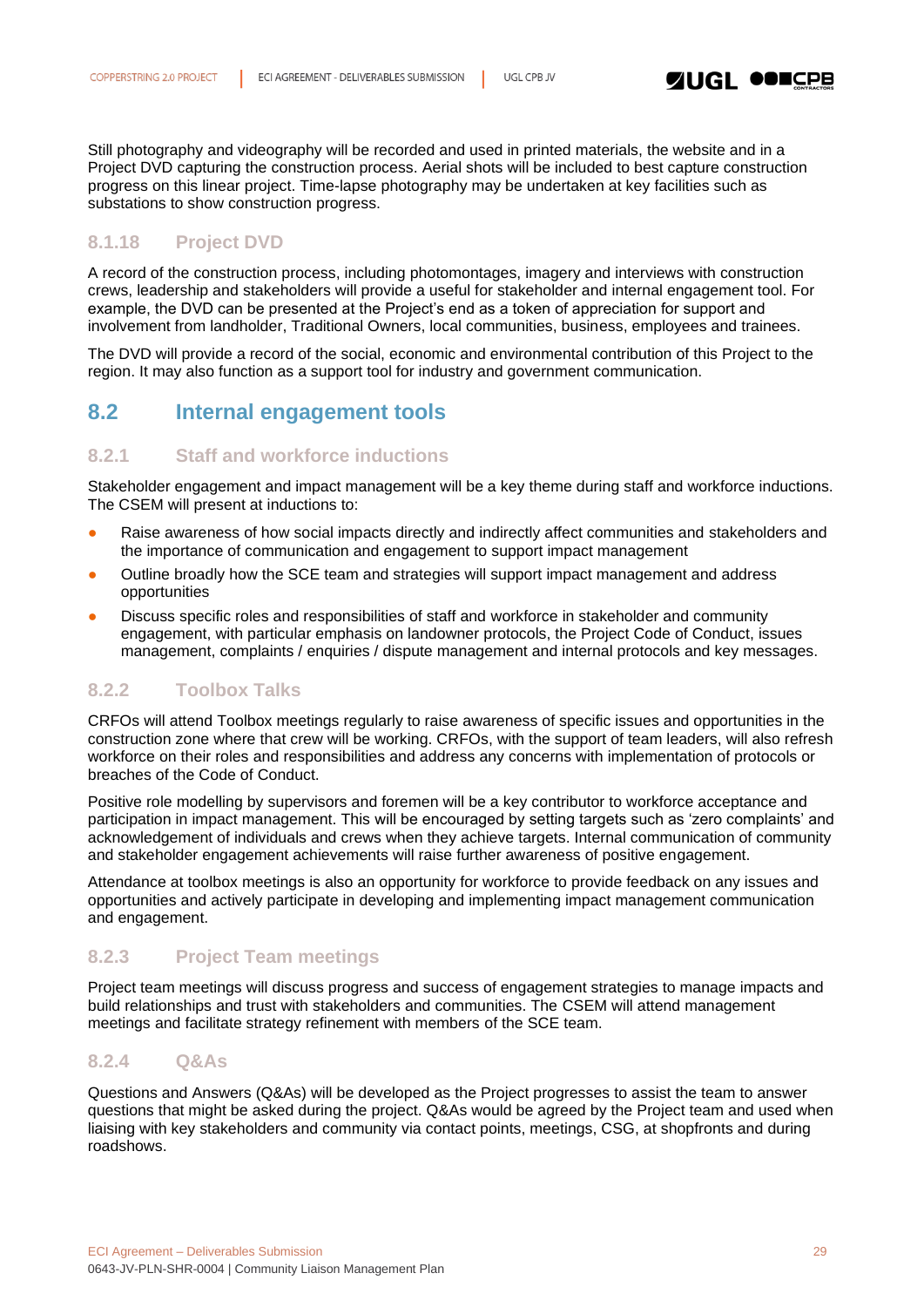Still photography and videography will be recorded and used in printed materials, the website and in a Project DVD capturing the construction process. Aerial shots will be included to best capture construction progress on this linear project. Time-lapse photography may be undertaken at key facilities such as substations to show construction progress.

### <span id="page-28-0"></span>**8.1.18 Project DVD**

A record of the construction process, including photomontages, imagery and interviews with construction crews, leadership and stakeholders will provide a useful for stakeholder and internal engagement tool. For example, the DVD can be presented at the Project's end as a token of appreciation for support and involvement from landholder, Traditional Owners, local communities, business, employees and trainees.

The DVD will provide a record of the social, economic and environmental contribution of this Project to the region. It may also function as a support tool for industry and government communication.

### <span id="page-28-1"></span>**8.2 Internal engagement tools**

### <span id="page-28-2"></span>**8.2.1 Staff and workforce inductions**

Stakeholder engagement and impact management will be a key theme during staff and workforce inductions. The CSEM will present at inductions to:

- Raise awareness of how social impacts directly and indirectly affect communities and stakeholders and the importance of communication and engagement to support impact management
- Outline broadly how the SCE team and strategies will support impact management and address opportunities
- Discuss specific roles and responsibilities of staff and workforce in stakeholder and community engagement, with particular emphasis on landowner protocols, the Project Code of Conduct, issues management, complaints / enquiries / dispute management and internal protocols and key messages.

### <span id="page-28-3"></span>**8.2.2 Toolbox Talks**

CRFOs will attend Toolbox meetings regularly to raise awareness of specific issues and opportunities in the construction zone where that crew will be working. CRFOs, with the support of team leaders, will also refresh workforce on their roles and responsibilities and address any concerns with implementation of protocols or breaches of the Code of Conduct.

Positive role modelling by supervisors and foremen will be a key contributor to workforce acceptance and participation in impact management. This will be encouraged by setting targets such as 'zero complaints' and acknowledgement of individuals and crews when they achieve targets. Internal communication of community and stakeholder engagement achievements will raise further awareness of positive engagement.

Attendance at toolbox meetings is also an opportunity for workforce to provide feedback on any issues and opportunities and actively participate in developing and implementing impact management communication and engagement.

### <span id="page-28-4"></span>**8.2.3 Project Team meetings**

Project team meetings will discuss progress and success of engagement strategies to manage impacts and build relationships and trust with stakeholders and communities. The CSEM will attend management meetings and facilitate strategy refinement with members of the SCE team.

### <span id="page-28-5"></span>**8.2.4 Q&As**

Questions and Answers (Q&As) will be developed as the Project progresses to assist the team to answer questions that might be asked during the project. Q&As would be agreed by the Project team and used when liaising with key stakeholders and community via contact points, meetings, CSG, at shopfronts and during roadshows.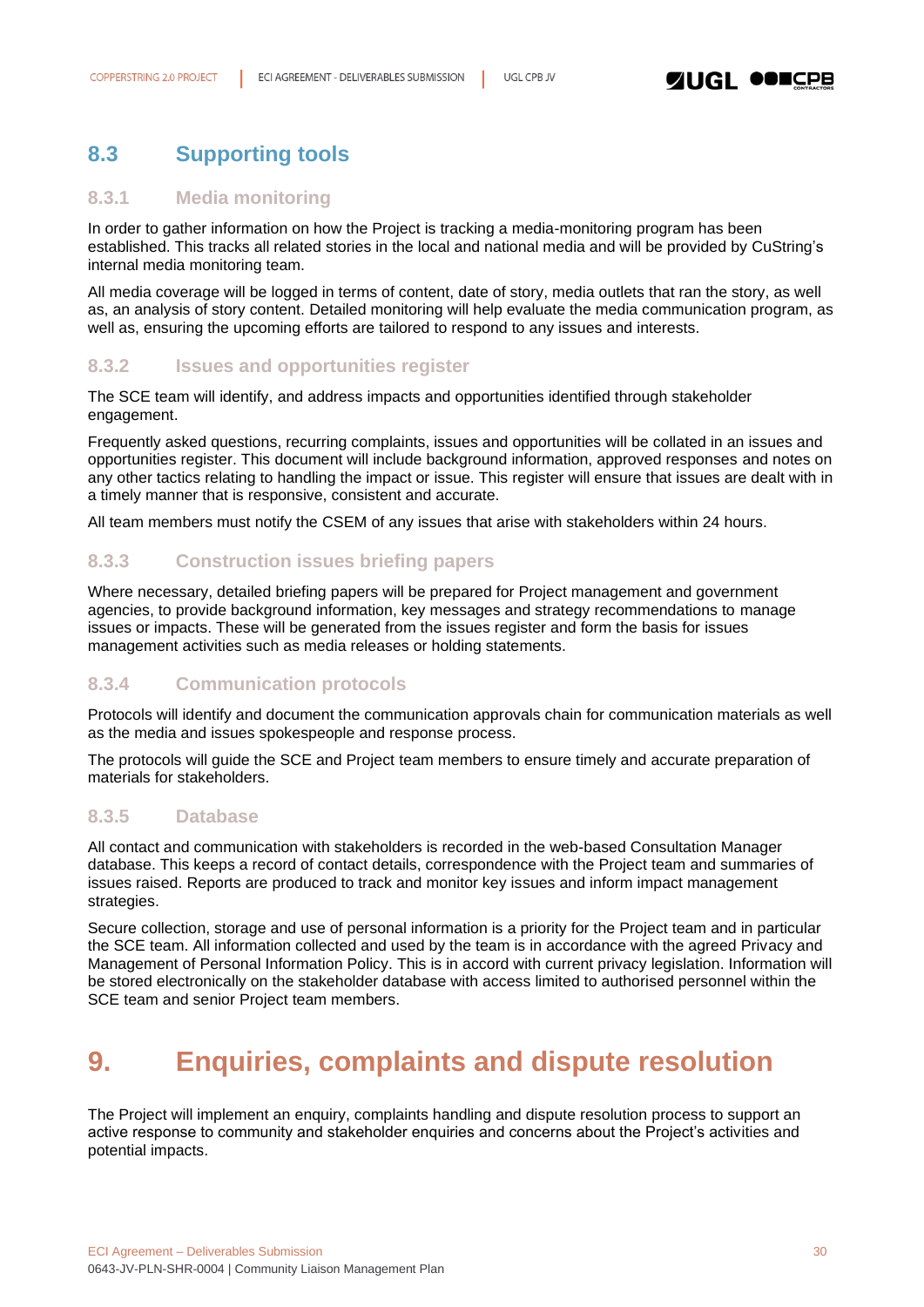### <span id="page-29-0"></span>**8.3 Supporting tools**

### <span id="page-29-1"></span>**8.3.1 Media monitoring**

In order to gather information on how the Project is tracking a media-monitoring program has been established. This tracks all related stories in the local and national media and will be provided by CuString's internal media monitoring team.

All media coverage will be logged in terms of content, date of story, media outlets that ran the story, as well as, an analysis of story content. Detailed monitoring will help evaluate the media communication program, as well as, ensuring the upcoming efforts are tailored to respond to any issues and interests.

### <span id="page-29-2"></span>**8.3.2 Issues and opportunities register**

The SCE team will identify, and address impacts and opportunities identified through stakeholder engagement.

Frequently asked questions, recurring complaints, issues and opportunities will be collated in an issues and opportunities register. This document will include background information, approved responses and notes on any other tactics relating to handling the impact or issue. This register will ensure that issues are dealt with in a timely manner that is responsive, consistent and accurate.

All team members must notify the CSEM of any issues that arise with stakeholders within 24 hours.

### <span id="page-29-3"></span>**8.3.3 Construction issues briefing papers**

Where necessary, detailed briefing papers will be prepared for Project management and government agencies, to provide background information, key messages and strategy recommendations to manage issues or impacts. These will be generated from the issues register and form the basis for issues management activities such as media releases or holding statements.

### <span id="page-29-4"></span>**8.3.4 Communication protocols**

Protocols will identify and document the communication approvals chain for communication materials as well as the media and issues spokespeople and response process.

The protocols will guide the SCE and Project team members to ensure timely and accurate preparation of materials for stakeholders.

### <span id="page-29-5"></span>**8.3.5 Database**

All contact and communication with stakeholders is recorded in the web-based Consultation Manager database. This keeps a record of contact details, correspondence with the Project team and summaries of issues raised. Reports are produced to track and monitor key issues and inform impact management strategies.

Secure collection, storage and use of personal information is a priority for the Project team and in particular the SCE team. All information collected and used by the team is in accordance with the agreed Privacy and Management of Personal Information Policy. This is in accord with current privacy legislation. Information will be stored electronically on the stakeholder database with access limited to authorised personnel within the SCE team and senior Project team members.

# <span id="page-29-6"></span>**9. Enquiries, complaints and dispute resolution**

The Project will implement an enquiry, complaints handling and dispute resolution process to support an active response to community and stakeholder enquiries and concerns about the Project's activities and potential impacts.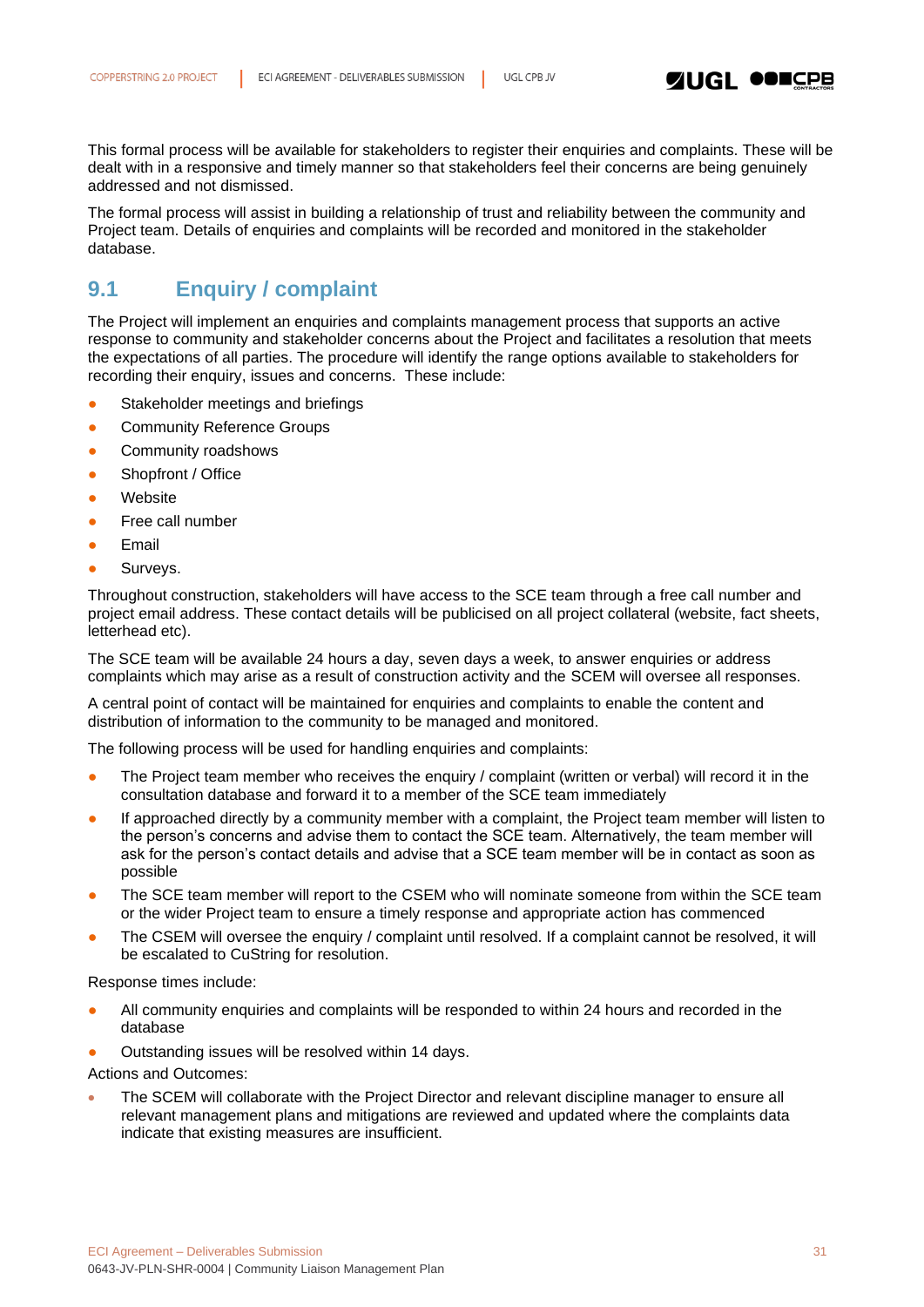

This formal process will be available for stakeholders to register their enquiries and complaints. These will be dealt with in a responsive and timely manner so that stakeholders feel their concerns are being genuinely addressed and not dismissed.

The formal process will assist in building a relationship of trust and reliability between the community and Project team. Details of enquiries and complaints will be recorded and monitored in the stakeholder database.

### <span id="page-30-0"></span>**9.1 Enquiry / complaint**

The Project will implement an enquiries and complaints management process that supports an active response to community and stakeholder concerns about the Project and facilitates a resolution that meets the expectations of all parties. The procedure will identify the range options available to stakeholders for recording their enquiry, issues and concerns. These include:

- Stakeholder meetings and briefings
- **Community Reference Groups**
- **•** Community roadshows
- Shopfront / Office
- Website
- Free call number
- **Email**
- **•** Surveys.

Throughout construction, stakeholders will have access to the SCE team through a free call number and project email address. These contact details will be publicised on all project collateral (website, fact sheets, letterhead etc).

The SCE team will be available 24 hours a day, seven days a week, to answer enquiries or address complaints which may arise as a result of construction activity and the SCEM will oversee all responses.

A central point of contact will be maintained for enquiries and complaints to enable the content and distribution of information to the community to be managed and monitored.

The following process will be used for handling enquiries and complaints:

- The Project team member who receives the enquiry / complaint (written or verbal) will record it in the consultation database and forward it to a member of the SCE team immediately
- If approached directly by a community member with a complaint, the Project team member will listen to the person's concerns and advise them to contact the SCE team. Alternatively, the team member will ask for the person's contact details and advise that a SCE team member will be in contact as soon as possible
- The SCE team member will report to the CSEM who will nominate someone from within the SCE team or the wider Project team to ensure a timely response and appropriate action has commenced
- The CSEM will oversee the enquiry / complaint until resolved. If a complaint cannot be resolved, it will be escalated to CuString for resolution.

Response times include:

- All community enquiries and complaints will be responded to within 24 hours and recorded in the database
- Outstanding issues will be resolved within 14 days.

Actions and Outcomes:

• The SCEM will collaborate with the Project Director and relevant discipline manager to ensure all relevant management plans and mitigations are reviewed and updated where the complaints data indicate that existing measures are insufficient.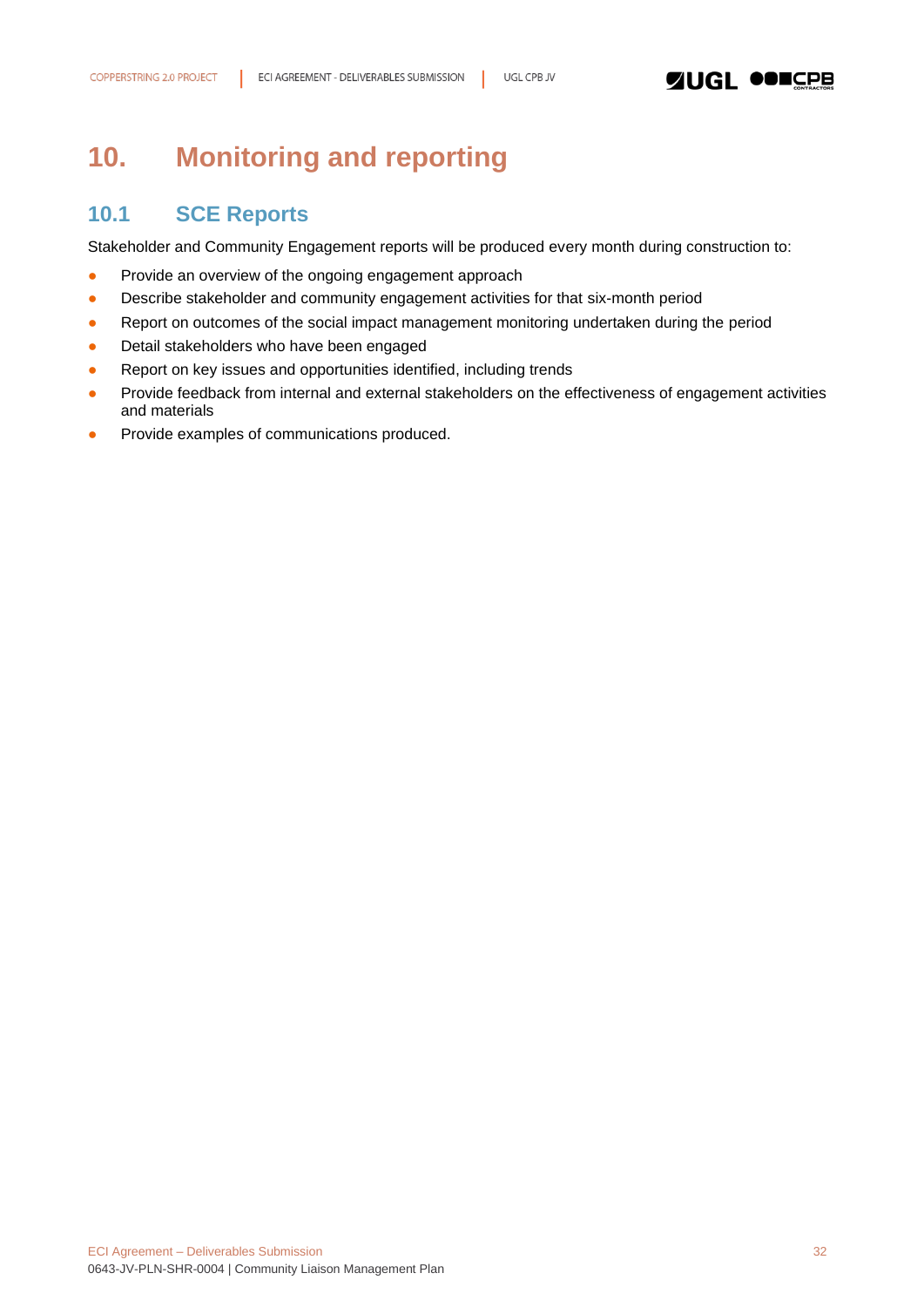# <span id="page-31-0"></span>**10. Monitoring and reporting**

### <span id="page-31-1"></span>**10.1 SCE Reports**

Stakeholder and Community Engagement reports will be produced every month during construction to:

- Provide an overview of the ongoing engagement approach
- Describe stakeholder and community engagement activities for that six-month period
- Report on outcomes of the social impact management monitoring undertaken during the period
- Detail stakeholders who have been engaged
- Report on key issues and opportunities identified, including trends
- Provide feedback from internal and external stakeholders on the effectiveness of engagement activities and materials
- Provide examples of communications produced.